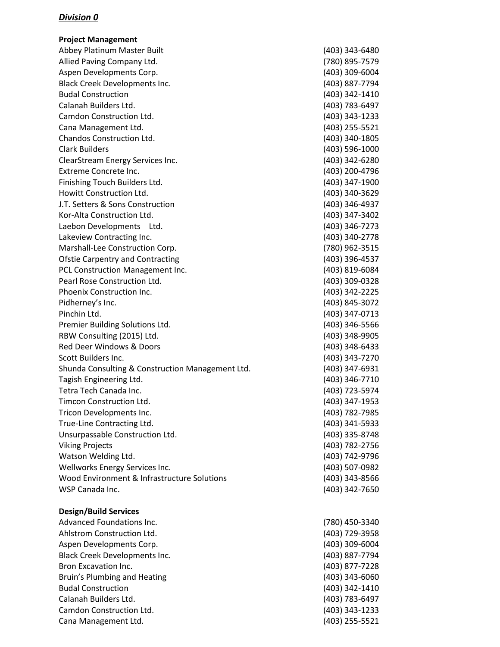**Project Management** Abbey Platinum Master Built (403) 343-6480 Allied Paving Company Ltd. (780) 895-7579 Aspen Developments Corp. (403) 309-6004 Black Creek Developments Inc. (403) 887-7794 Budal Construction (403) 342-1410 Calanah Builders Ltd. (403) 783-6497 Camdon Construction Ltd. (403) 343-1233 Cana Management Ltd. (403) 255-5521 Chandos Construction Ltd. (403) 340-1805 Clark Builders (403) 596-1000 ClearStream Energy Services Inc. (403) 342-6280 Extreme Concrete Inc. (403) 200-4796 Finishing Touch Builders Ltd. (403) 347-1900 Howitt Construction Ltd. (403) 340-3629 J.T. Setters & Sons Construction (403) 346-4937 Kor-Alta Construction Ltd. (403) 347-3402 Laebon Developments Ltd. (403) 346-7273 Lakeview Contracting Inc. (403) 340-2778 Marshall-Lee Construction Corp. (780) 962-3515 Ofstie Carpentry and Contracting (403) 396-4537 PCL Construction Management Inc. (403) 819-6084 Pearl Rose Construction Ltd. (403) 309-0328 Phoenix Construction Inc. (403) 342-2225 Pidherney's Inc. (403) 845-3072 Pinchin Ltd. (403) 347-0713 Premier Building Solutions Ltd. (403) 346-5566 RBW Consulting (2015) Ltd. (403) 348-9905 Red Deer Windows & Doors (403) 348-6433 Scott Builders Inc. (403) 343-7270 Shunda Consulting & Construction Management Ltd. (403) 347-6931 Tagish Engineering Ltd. (403) 346-7710 Tetra Tech Canada Inc. (403) 723-5974 Timcon Construction Ltd. (403) 347-1953 Tricon Developments Inc. (403) 782-7985 True-Line Contracting Ltd. (403) 341-5933 Unsurpassable Construction Ltd. (403) 335-8748 Viking Projects (403) 782-2756 Watson Welding Ltd. (403) 742-9796 Wellworks Energy Services Inc. (403) 507-0982 Wood Environment & Infrastructure Solutions (403) 343-8566 WSP Canada Inc. (403) 342-7650

#### **Design/Build Services**

Advanced Foundations Inc. (780) 450-3340 Ahlstrom Construction Ltd. (403) 729-3958 Aspen Developments Corp. (403) 309-6004 Black Creek Developments Inc. (403) 887-7794 Bron Excavation Inc. (403) 877-7228 Bruin's Plumbing and Heating (403) 343-6060 Budal Construction (403) 342-1410 Calanah Builders Ltd. (403) 783-6497 Camdon Construction Ltd. (403) 343-1233 Cana Management Ltd. (403) 255-5521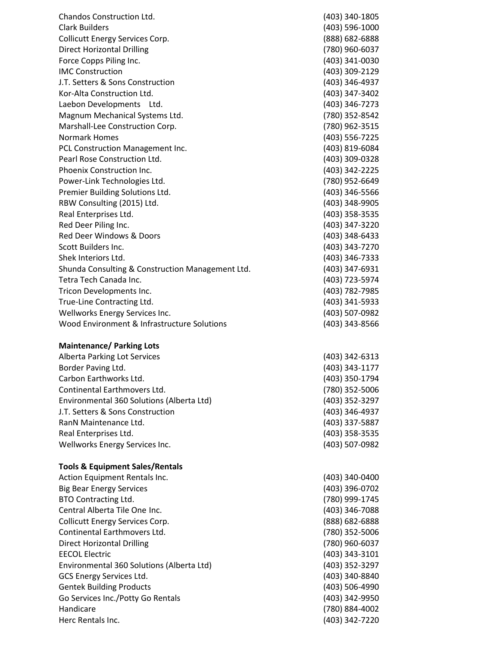| Chandos Construction Ltd.                        | (403) 340-1805 |
|--------------------------------------------------|----------------|
| <b>Clark Builders</b>                            | (403) 596-1000 |
| <b>Collicutt Energy Services Corp.</b>           | (888) 682-6888 |
| <b>Direct Horizontal Drilling</b>                | (780) 960-6037 |
| Force Copps Piling Inc.                          | (403) 341-0030 |
| <b>IMC Construction</b>                          | (403) 309-2129 |
| J.T. Setters & Sons Construction                 | (403) 346-4937 |
| Kor-Alta Construction Ltd.                       | (403) 347-3402 |
| Laebon Developments Ltd.                         | (403) 346-7273 |
| Magnum Mechanical Systems Ltd.                   | (780) 352-8542 |
| Marshall-Lee Construction Corp.                  | (780) 962-3515 |
| <b>Normark Homes</b>                             | (403) 556-7225 |
| PCL Construction Management Inc.                 | (403) 819-6084 |
| Pearl Rose Construction Ltd.                     | (403) 309-0328 |
| Phoenix Construction Inc.                        | (403) 342-2225 |
| Power-Link Technologies Ltd.                     | (780) 952-6649 |
| Premier Building Solutions Ltd.                  | (403) 346-5566 |
| RBW Consulting (2015) Ltd.                       | (403) 348-9905 |
| Real Enterprises Ltd.                            | (403) 358-3535 |
| Red Deer Piling Inc.                             | (403) 347-3220 |
| Red Deer Windows & Doors                         | (403) 348-6433 |
| Scott Builders Inc.                              | (403) 343-7270 |
| Shek Interiors Ltd.                              | (403) 346-7333 |
| Shunda Consulting & Construction Management Ltd. | (403) 347-6931 |
| Tetra Tech Canada Inc.                           | (403) 723-5974 |
| Tricon Developments Inc.                         | (403) 782-7985 |
| True-Line Contracting Ltd.                       | (403) 341-5933 |
| Wellworks Energy Services Inc.                   | (403) 507-0982 |
| Wood Environment & Infrastructure Solutions      | (403) 343-8566 |
| <b>Maintenance/ Parking Lots</b>                 |                |
| <b>Alberta Parking Lot Services</b>              | (403) 342-6313 |
| Border Paving Ltd.                               | (403) 343-1177 |
| Carbon Earthworks Ltd.                           | (403) 350-1794 |
| Continental Earthmovers Ltd.                     | (780) 352-5006 |
| Environmental 360 Solutions (Alberta Ltd)        | (403) 352-3297 |
| J.T. Setters & Sons Construction                 | (403) 346-4937 |
| RanN Maintenance Ltd.                            | (403) 337-5887 |
| Real Enterprises Ltd.                            | (403) 358-3535 |
| Wellworks Energy Services Inc.                   | (403) 507-0982 |
| <b>Tools &amp; Equipment Sales/Rentals</b>       |                |
| Action Equipment Rentals Inc.                    | (403) 340-0400 |
| <b>Big Bear Energy Services</b>                  | (403) 396-0702 |
| <b>BTO Contracting Ltd.</b>                      | (780) 999-1745 |
| Central Alberta Tile One Inc.                    | (403) 346-7088 |
| <b>Collicutt Energy Services Corp.</b>           | (888) 682-6888 |
| Continental Earthmovers Ltd.                     | (780) 352-5006 |
| <b>Direct Horizontal Drilling</b>                | (780) 960-6037 |
| <b>EECOL Electric</b>                            | (403) 343-3101 |
| Environmental 360 Solutions (Alberta Ltd)        | (403) 352-3297 |
| GCS Energy Services Ltd.                         | (403) 340-8840 |
| <b>Gentek Building Products</b>                  | (403) 506-4990 |
| Go Services Inc./Potty Go Rentals                | (403) 342-9950 |
| Handicare                                        | (780) 884-4002 |
| Herc Rentals Inc.                                | (403) 342-7220 |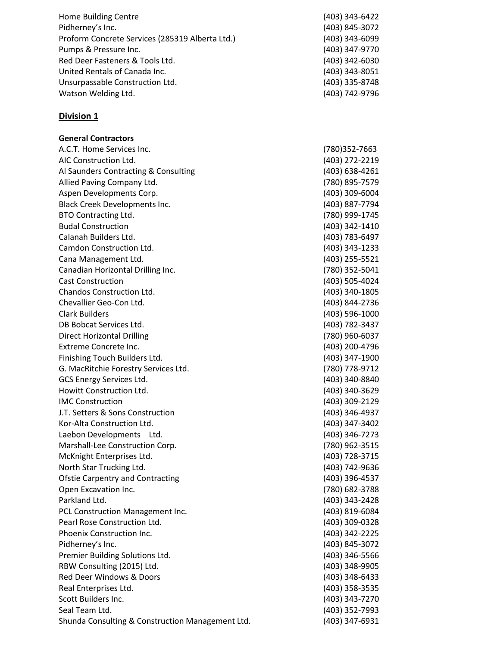| Home Building Centre                            | (403) 343-6422 |
|-------------------------------------------------|----------------|
| Pidherney's Inc.                                | (403) 845-3072 |
| Proform Concrete Services (285319 Alberta Ltd.) | (403) 343-6099 |
| Pumps & Pressure Inc.                           | (403) 347-9770 |
| Red Deer Fasteners & Tools Ltd.                 | (403) 342-6030 |
| United Rentals of Canada Inc.                   | (403) 343-8051 |
| Unsurpassable Construction Ltd.                 | (403) 335-8748 |
| Watson Welding Ltd.                             | (403) 742-9796 |

**General Contractors**

A.C.T. Home Services Inc. (780)352-7663 AIC Construction Ltd. (403) 272-2219 Al Saunders Contracting & Consulting (403) 638-4261 Allied Paving Company Ltd. (780) 895-7579 Aspen Developments Corp. (403) 309-6004 Black Creek Developments Inc. (403) 887-7794 BTO Contracting Ltd. (780) 999-1745 Budal Construction (403) 342-1410 Calanah Builders Ltd. (403) 783-6497 Camdon Construction Ltd. (403) 343-1233 Cana Management Ltd. (403) 255-5521 Canadian Horizontal Drilling Inc. (780) 352-5041 Cast Construction (403) 505-4024 Chandos Construction Ltd. (403) 340-1805 Chevallier Geo-Con Ltd. (403) 844-2736 Clark Builders (403) 596-1000 DB Bobcat Services Ltd. (403) 782-3437 Direct Horizontal Drilling (780) 960-6037 Extreme Concrete Inc. (403) 200-4796 Finishing Touch Builders Ltd. (403) 347-1900 G. MacRitchie Forestry Services Ltd. (780) 778-9712 GCS Energy Services Ltd. (403) 340-8840 Howitt Construction Ltd. (403) 340-3629 IMC Construction (403) 309-2129 J.T. Setters & Sons Construction (403) 346-4937 Kor-Alta Construction Ltd. (403) 347-3402 Laebon Developments Ltd. (403) 346-7273 Marshall-Lee Construction Corp. (780) 962-3515 McKnight Enterprises Ltd. (403) 728-3715 North Star Trucking Ltd. (403) 742-9636 Ofstie Carpentry and Contracting (403) 396-4537 Open Excavation Inc. (780) 682-3788 Parkland Ltd. (403) 343-2428 PCL Construction Management Inc. (403) 819-6084 Pearl Rose Construction Ltd. (403) 309-0328 Phoenix Construction Inc. (403) 342-2225 Pidherney's Inc. (403) 845-3072 Premier Building Solutions Ltd. (403) 346-5566 RBW Consulting (2015) Ltd. (403) 348-9905 Red Deer Windows & Doors (403) 348-6433 Real Enterprises Ltd. (403) 358-3535 Scott Builders Inc. (403) 343-7270 Seal Team Ltd. (403) 352-7993 Shunda Consulting & Construction Management Ltd. (403) 347-6931

| 403) 343-6422 |
|---------------|
| 403) 845-3072 |
| 403) 343-6099 |
| 403) 347-9770 |
| 403) 342-6030 |
| 403) 343-8051 |
| 403) 335-8748 |
| 403) 742-9796 |
|               |
|               |
|               |
|               |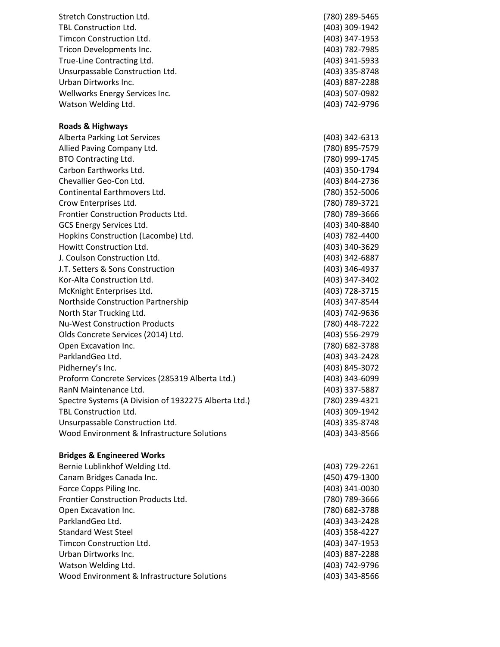| (780) 289-5465 |
|----------------|
| (403) 309-1942 |
| (403) 347-1953 |
| (403) 782-7985 |
| (403) 341-5933 |
| (403) 335-8748 |
| (403) 887-2288 |
| (403) 507-0982 |
| (403) 742-9796 |
|                |

#### **Roads & Highways**

Alberta Parking Lot Services (403) 342-6313 Allied Paving Company Ltd. (780) 895-7579 BTO Contracting Ltd. (780) 999-1745 Carbon Earthworks Ltd. (403) 350-1794 Chevallier Geo-Con Ltd. (403) 844-2736 Continental Earthmovers Ltd. (780) 352-5006 Crow Enterprises Ltd. (780) 789-3721 Frontier Construction Products Ltd. (780) 789-3666 GCS Energy Services Ltd. (403) 340-8840 Hopkins Construction (Lacombe) Ltd. (403) 782-4400 Howitt Construction Ltd. (403) 340-3629 J. Coulson Construction Ltd. (403) 342-6887 J.T. Setters & Sons Construction (403) 346-4937 Kor-Alta Construction Ltd. (403) 347-3402 McKnight Enterprises Ltd. (403) 728-3715 Northside Construction Partnership (403) 347-8544 North Star Trucking Ltd. (403) 742-9636 Nu-West Construction Products (780) 448-7222 Olds Concrete Services (2014) Ltd. (403) 556-2979 Open Excavation Inc. (780) 682-3788 ParklandGeo Ltd. (403) 343-2428 Pidherney's Inc. (403) 845-3072 Proform Concrete Services (285319 Alberta Ltd.) (403) 343-6099 RanN Maintenance Ltd. (403) 337-5887 Spectre Systems (A Division of 1932275 Alberta Ltd.) (780) 239-4321 TBL Construction Ltd. (403) 309-1942 Unsurpassable Construction Ltd. (403) 335-8748 Wood Environment & Infrastructure Solutions (403) 343-8566

#### **Bridges & Engineered Works**

| Bernie Lublinkhof Welding Ltd.              | (403) 729-2261 |
|---------------------------------------------|----------------|
| Canam Bridges Canada Inc.                   | (450) 479-1300 |
| Force Copps Piling Inc.                     | (403) 341-0030 |
| Frontier Construction Products Ltd.         | (780) 789-3666 |
| Open Excavation Inc.                        | (780) 682-3788 |
| ParklandGeo Ltd.                            | (403) 343-2428 |
| <b>Standard West Steel</b>                  | (403) 358-4227 |
| Timcon Construction Ltd.                    | (403) 347-1953 |
| Urban Dirtworks Inc.                        | (403) 887-2288 |
| Watson Welding Ltd.                         | (403) 742-9796 |
| Wood Environment & Infrastructure Solutions | (403) 343-8566 |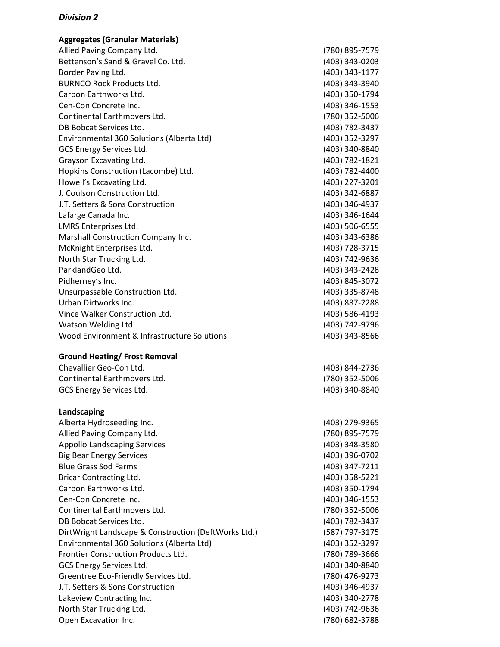| <b>Aggregates (Granular Materials)</b>               |                |
|------------------------------------------------------|----------------|
| Allied Paving Company Ltd.                           | (780) 895-7579 |
| Bettenson's Sand & Gravel Co. Ltd.                   | (403) 343-0203 |
| Border Paving Ltd.                                   | (403) 343-1177 |
| <b>BURNCO Rock Products Ltd.</b>                     | (403) 343-3940 |
| Carbon Earthworks Ltd.                               | (403) 350-1794 |
| Cen-Con Concrete Inc.                                | (403) 346-1553 |
| Continental Earthmovers Ltd.                         | (780) 352-5006 |
| DB Bobcat Services Ltd.                              | (403) 782-3437 |
| Environmental 360 Solutions (Alberta Ltd)            | (403) 352-3297 |
| <b>GCS Energy Services Ltd.</b>                      | (403) 340-8840 |
| Grayson Excavating Ltd.                              | (403) 782-1821 |
| Hopkins Construction (Lacombe) Ltd.                  | (403) 782-4400 |
| Howell's Excavating Ltd.                             | (403) 227-3201 |
| J. Coulson Construction Ltd.                         | (403) 342-6887 |
| J.T. Setters & Sons Construction                     | (403) 346-4937 |
| Lafarge Canada Inc.                                  | (403) 346-1644 |
| LMRS Enterprises Ltd.                                | (403) 506-6555 |
| Marshall Construction Company Inc.                   | (403) 343-6386 |
| McKnight Enterprises Ltd.                            | (403) 728-3715 |
| North Star Trucking Ltd.                             | (403) 742-9636 |
| ParklandGeo Ltd.                                     | (403) 343-2428 |
| Pidherney's Inc.                                     | (403) 845-3072 |
| Unsurpassable Construction Ltd.                      | (403) 335-8748 |
| Urban Dirtworks Inc.                                 | (403) 887-2288 |
| Vince Walker Construction Ltd.                       | (403) 586-4193 |
| Watson Welding Ltd.                                  | (403) 742-9796 |
| Wood Environment & Infrastructure Solutions          | (403) 343-8566 |
| <b>Ground Heating/ Frost Removal</b>                 |                |
| Chevallier Geo-Con Ltd.                              | (403) 844-2736 |
| Continental Earthmovers Ltd.                         | (780) 352-5006 |
| GCS Energy Services Ltd.                             | (403) 340-8840 |
|                                                      |                |
| Landscaping                                          |                |
| Alberta Hydroseeding Inc.                            | (403) 279-9365 |
| Allied Paving Company Ltd.                           | (780) 895-7579 |
| <b>Appollo Landscaping Services</b>                  | (403) 348-3580 |
| <b>Big Bear Energy Services</b>                      | (403) 396-0702 |
| <b>Blue Grass Sod Farms</b>                          | (403) 347-7211 |
| Bricar Contracting Ltd.                              | (403) 358-5221 |
| Carbon Earthworks Ltd.                               | (403) 350-1794 |
| Cen-Con Concrete Inc.                                | (403) 346-1553 |
| Continental Earthmovers Ltd.                         | (780) 352-5006 |
| DB Bobcat Services Ltd.                              | (403) 782-3437 |
| DirtWright Landscape & Construction (DeftWorks Ltd.) | (587) 797-3175 |
| Environmental 360 Solutions (Alberta Ltd)            | (403) 352-3297 |
| Frontier Construction Products Ltd.                  | (780) 789-3666 |
| GCS Energy Services Ltd.                             | (403) 340-8840 |
| Greentree Eco-Friendly Services Ltd.                 | (780) 476-9273 |
| J.T. Setters & Sons Construction                     | (403) 346-4937 |
| Lakeview Contracting Inc.                            | (403) 340-2778 |
| North Star Trucking Ltd.                             | (403) 742-9636 |
| Open Excavation Inc.                                 | (780) 682-3788 |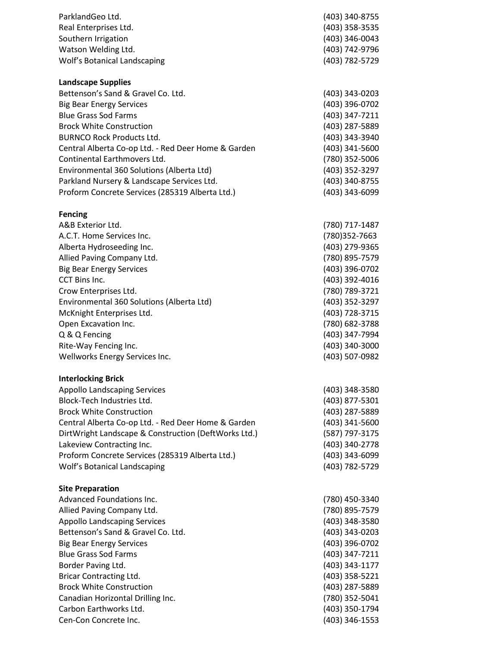| ParklandGeo Ltd.<br>Real Enterprises Ltd.<br>Southern Irrigation<br>Watson Welding Ltd.<br>Wolf's Botanical Landscaping                                                                                                                                                                                                                                                                                                                       | (403) 340-8755<br>(403) 358-3535<br>(403) 346-0043<br>(403) 742-9796<br>(403) 782-5729                                                                                                                                                |
|-----------------------------------------------------------------------------------------------------------------------------------------------------------------------------------------------------------------------------------------------------------------------------------------------------------------------------------------------------------------------------------------------------------------------------------------------|---------------------------------------------------------------------------------------------------------------------------------------------------------------------------------------------------------------------------------------|
| <b>Landscape Supplies</b><br>Bettenson's Sand & Gravel Co. Ltd.<br><b>Big Bear Energy Services</b><br><b>Blue Grass Sod Farms</b><br><b>Brock White Construction</b><br><b>BURNCO Rock Products Ltd.</b><br>Central Alberta Co-op Ltd. - Red Deer Home & Garden<br>Continental Earthmovers Ltd.<br>Environmental 360 Solutions (Alberta Ltd)<br>Parkland Nursery & Landscape Services Ltd.<br>Proform Concrete Services (285319 Alberta Ltd.) | (403) 343-0203<br>(403) 396-0702<br>(403) 347-7211<br>(403) 287-5889<br>(403) 343-3940<br>(403) 341-5600<br>(780) 352-5006<br>(403) 352-3297<br>(403) 340-8755<br>(403) 343-6099                                                      |
| <b>Fencing</b><br>A&B Exterior Ltd.<br>A.C.T. Home Services Inc.<br>Alberta Hydroseeding Inc.<br>Allied Paving Company Ltd.<br><b>Big Bear Energy Services</b><br>CCT Bins Inc.<br>Crow Enterprises Ltd.<br>Environmental 360 Solutions (Alberta Ltd)<br>McKnight Enterprises Ltd.<br>Open Excavation Inc.<br>Q & Q Fencing<br>Rite-Way Fencing Inc.<br>Wellworks Energy Services Inc.                                                        | (780) 717-1487<br>(780)352-7663<br>(403) 279-9365<br>(780) 895-7579<br>(403) 396-0702<br>(403) 392-4016<br>(780) 789-3721<br>(403) 352-3297<br>(403) 728-3715<br>(780) 682-3788<br>(403) 347-7994<br>(403) 340-3000<br>(403) 507-0982 |
| <b>Interlocking Brick</b><br><b>Appollo Landscaping Services</b><br>Block-Tech Industries Ltd.<br><b>Brock White Construction</b><br>Central Alberta Co-op Ltd. - Red Deer Home & Garden<br>DirtWright Landscape & Construction (DeftWorks Ltd.)<br>Lakeview Contracting Inc.<br>Proform Concrete Services (285319 Alberta Ltd.)<br>Wolf's Botanical Landscaping                                                                              | (403) 348-3580<br>(403) 877-5301<br>(403) 287-5889<br>(403) 341-5600<br>(587) 797-3175<br>(403) 340-2778<br>(403) 343-6099<br>(403) 782-5729                                                                                          |
| <b>Site Preparation</b><br>Advanced Foundations Inc.<br>Allied Paving Company Ltd.<br><b>Appollo Landscaping Services</b><br>Bettenson's Sand & Gravel Co. Ltd.<br><b>Big Bear Energy Services</b><br><b>Blue Grass Sod Farms</b><br>Border Paving Ltd.<br><b>Bricar Contracting Ltd.</b><br><b>Brock White Construction</b><br>Canadian Horizontal Drilling Inc.<br>Carbon Earthworks Ltd.<br>Cen-Con Concrete Inc.                          | (780) 450-3340<br>(780) 895-7579<br>(403) 348-3580<br>(403) 343-0203<br>(403) 396-0702<br>(403) 347-7211<br>(403) 343-1177<br>(403) 358-5221<br>(403) 287-5889<br>(780) 352-5041<br>(403) 350-1794<br>(403) 346-1553                  |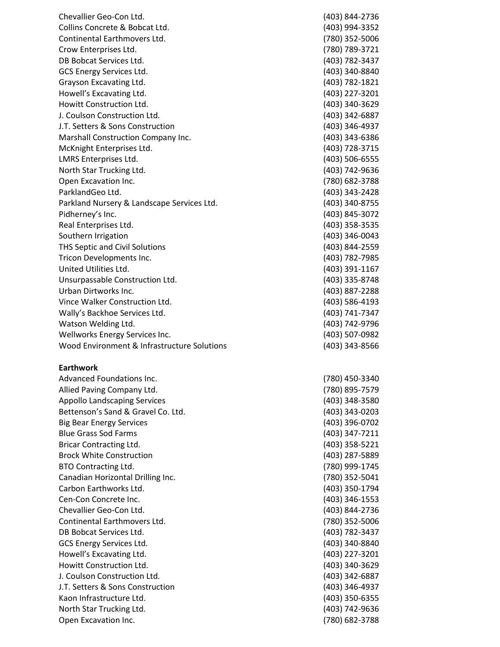Chevalli er Ge o -Con Ltd. (403) 84 Collins Concrete & Bobcat Ltd. Continental Earthmover s Ltd. (780) 35 2 -5006 Crow Enterprises Ltd. DB Bobcat Services Ltd. GCS Energy Services Ltd. G rayson Excavating Ltd. (40 Ho w ell's Ex cava ting Ltd. How itt C onstruction Ltd. (403) 340 J. Coulson Construction Ltd. J.T. Setters & Sons Construction Marshall Construction Company Inc. McKnight Enterprises Ltd. LMRS Enterprises Ltd. North Star Trucking Ltd. Open Excavation Inc. ParklandGeo Ltd. Parkland Nursery & Landscape Services Ltd. Pidher ney's Inc. (403 Real Enterprises Ltd .  $(403)$ Southern Irrigatio n (403) 346 -0043 THS Septic and Civil Solutions Tricon Developments Inc. United Utilities Ltd. Unsurpassable Construction Ltd. Urban Dirtworks Inc. (403) 887 Vince Walker Construction Ltd. The Construction of the Construction of the Construction of the Constantion of  $(403)$  58 Wall y's Backhoe Services Ltd. (403) 741 Watson Welding Ltd. Wellworks Energy Services Inc. Wood Environment & In frastructure Soluti

#### **Earthwork**

Advan ced Foundations Inc Allied Paving Company Ltd. Appollo Landscaping Services Bettenson's Sand & Gravel Co. Ltd. Big Bear Energy Services Blue Grass Sod Farms Bricar Contracting Ltd. Brock White Construction BTO Con tracting Ltd. (780) 999 Canadian Ho rizontal Drilling Inc. (780) 352 Carbon Earthwo rks Ltd. Cen -Con Concrete Inc. (403) 346 Chevallier Geo -Con Ltd. (403) 844 -2736 Continental Earthmovers Ltd. D B Bobcat Service s Ltd GCS Energy Services Ltd Howell's Excavating Ltd. (403) 227 Howitt Construction Ltd. J. Coulson Construction Ltd J.T. Setters & S o ns Constructio n Kaon Infrastructure Ltd. North Star Trucking Ltd. (403) 742 Open Excavation Inc.

4 - 2736 (403) 994-3352 9 -3721 ) 782 -343 7 - 8840 3) 78 2 - 1821 (403) 22 7 -3201 (403) 340-3629 342 -6887 - 4937 (403) 343-6386 (403) 728-3715 (403) 506-6555 (403) 742-9636 (780) 682-3788 (403) 343 - 242 8 (403) 340 -8755 ) 845 - 3072 358 -3535 (403) 844-2559 (403) 782-7985 (403) 391-1167 -874 8 (403) 887-2288 6 -4193 (403) 741-7347 (403) 742-9796 (403) 507-0982 ons (403) 343 -8566 . (780) 450 -3340 (780) 895-7579 (403) 348-3580 ( 403) 343 -0203 - 0702 (403) 34 7 -7211 ( 403) 358 -5221 (403) 287-5889 - 1 745 (780) 352-5041 (403) 35 0 -1794 (403) 346-1553 ( 7 80) 352 -5006 . (403) 782 -3437 . (403) 340 -8840 (403) 227-3201 -362 9 . (403) 342 -6887 (403) 346 -4937 -63 5 5 (403) 742-9636 (780) 682-3788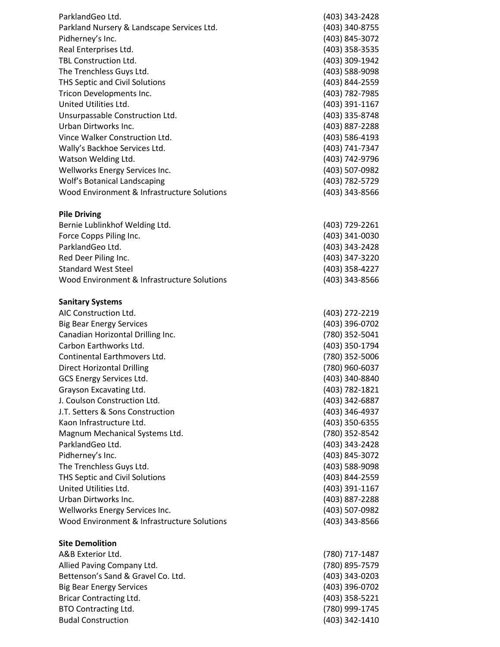| ParklandGeo Ltd.                            | (403) 343-2428 |
|---------------------------------------------|----------------|
| Parkland Nursery & Landscape Services Ltd.  | (403) 340-8755 |
| Pidherney's Inc.                            | (403) 845-3072 |
| Real Enterprises Ltd.                       | (403) 358-3535 |
| <b>TBL Construction Ltd.</b>                | (403) 309-1942 |
| The Trenchless Guys Ltd.                    | (403) 588-9098 |
| THS Septic and Civil Solutions              | (403) 844-2559 |
| Tricon Developments Inc.                    | (403) 782-7985 |
| United Utilities Ltd.                       | (403) 391-1167 |
| Unsurpassable Construction Ltd.             | (403) 335-8748 |
| Urban Dirtworks Inc.                        | (403) 887-2288 |
| Vince Walker Construction Ltd.              | (403) 586-4193 |
|                                             | (403) 741-7347 |
| Wally's Backhoe Services Ltd.               |                |
| Watson Welding Ltd.                         | (403) 742-9796 |
| Wellworks Energy Services Inc.              | (403) 507-0982 |
| Wolf's Botanical Landscaping                | (403) 782-5729 |
| Wood Environment & Infrastructure Solutions | (403) 343-8566 |
| <b>Pile Driving</b>                         |                |
| Bernie Lublinkhof Welding Ltd.              | (403) 729-2261 |
| Force Copps Piling Inc.                     | (403) 341-0030 |
| ParklandGeo Ltd.                            | (403) 343-2428 |
| Red Deer Piling Inc.                        | (403) 347-3220 |
| <b>Standard West Steel</b>                  | (403) 358-4227 |
| Wood Environment & Infrastructure Solutions | (403) 343-8566 |
| <b>Sanitary Systems</b>                     |                |
| AIC Construction Ltd.                       | (403) 272-2219 |
| <b>Big Bear Energy Services</b>             | (403) 396-0702 |
| Canadian Horizontal Drilling Inc.           | (780) 352-5041 |
| Carbon Earthworks Ltd.                      | (403) 350-1794 |
| Continental Earthmovers Ltd.                | (780) 352-5006 |
| <b>Direct Horizontal Drilling</b>           | (780) 960-6037 |
| <b>GCS Energy Services Ltd.</b>             | (403) 340-8840 |
| Grayson Excavating Ltd.                     | (403) 782-1821 |
| J. Coulson Construction Ltd.                | (403) 342-6887 |
| J.T. Setters & Sons Construction            | (403) 346-4937 |
| Kaon Infrastructure Ltd.                    | (403) 350-6355 |
| Magnum Mechanical Systems Ltd.              | (780) 352-8542 |
| ParklandGeo Ltd.                            | (403) 343-2428 |
| Pidherney's Inc.                            | (403) 845-3072 |
| The Trenchless Guys Ltd.                    | (403) 588-9098 |
| THS Septic and Civil Solutions              | (403) 844-2559 |
| United Utilities Ltd.                       | (403) 391-1167 |
| Urban Dirtworks Inc.                        | (403) 887-2288 |
| Wellworks Energy Services Inc.              | (403) 507-0982 |
| Wood Environment & Infrastructure Solutions | (403) 343-8566 |
| <b>Site Demolition</b>                      |                |
| A&B Exterior Ltd.                           | (780) 717-1487 |
| Allied Paving Company Ltd.                  | (780) 895-7579 |
| Bettenson's Sand & Gravel Co. Ltd.          | (403) 343-0203 |
| <b>Big Bear Energy Services</b>             | (403) 396-0702 |
| Bricar Contracting Ltd.                     | (403) 358-5221 |
| <b>BTO Contracting Ltd.</b>                 | (780) 999-1745 |
| <b>Budal Construction</b>                   | (403) 342-1410 |
|                                             |                |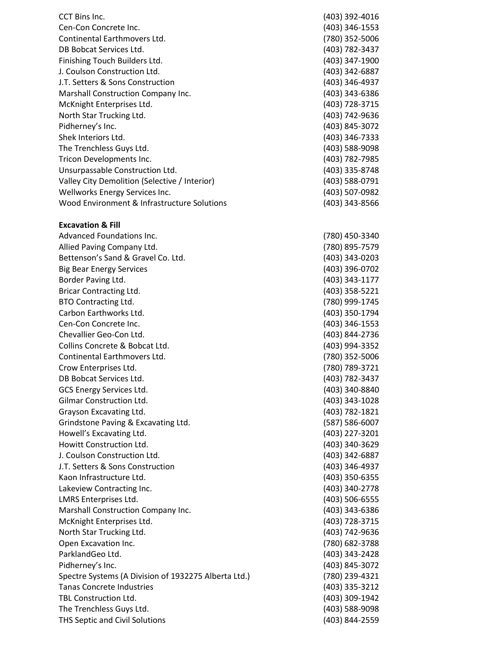CCT Bins Inc. (403) 392-4016 Cen-Con Concrete Inc. (403) 346-1553 Continental Earthmovers Ltd. (780) 352-5006 DB Bobcat Services Ltd. (403) 782-3437 Finishing Touch Builders Ltd. (403) 347-1900 J. Coulson Construction Ltd. (403) 342-6887 J.T. Setters & Sons Construction (403) 346-4937 Marshall Construction Company Inc. (403) 343-6386 McKnight Enterprises Ltd. (403) 728-3715 North Star Trucking Ltd. (403) 742-9636 Pidherney's Inc. (403) 845-3072 Shek Interiors Ltd. (403) 346-7333 The Trenchless Guys Ltd. (403) 588-9098 Tricon Developments Inc. (403) 782-7985 Unsurpassable Construction Ltd. (403) 335-8748 Valley City Demolition (Selective / Interior) (403) 588-0791 Wellworks Energy Services Inc. (403) 507-0982 Wood Environment & Infrastructure Solutions (403) 343-8566 **Excavation & Fill** Advanced Foundations Inc. (780) 450-3340 Allied Paving Company Ltd. (780) 895-7579

Bettenson's Sand & Gravel Co. Ltd. (403) 343-0203 Big Bear Energy Services (403) 396-0702 Border Paving Ltd. (403) 343-1177 Bricar Contracting Ltd. (403) 358-5221 BTO Contracting Ltd. (780) 999-1745 Carbon Earthworks Ltd. (403) 350-1794 Cen-Con Concrete Inc. (403) 346-1553 Chevallier Geo-Con Ltd. (403) 844-2736 Collins Concrete & Bobcat Ltd. (403) 994-3352 Continental Earthmovers Ltd. (780) 352-5006 Crow Enterprises Ltd. (780) 789-3721 DB Bobcat Services Ltd. (403) 782-3437 GCS Energy Services Ltd. (403) 340-8840 Gilmar Construction Ltd. (403) 343-1028 Grayson Excavating Ltd. (403) 782-1821 Grindstone Paving & Excavating Ltd. (587) 586-6007 Howell's Excavating Ltd. (403) 227-3201 Howitt Construction Ltd. (403) 340-3629 J. Coulson Construction Ltd. (403) 342-6887 J.T. Setters & Sons Construction (403) 346-4937 Kaon Infrastructure Ltd. (403) 350-6355 Lakeview Contracting Inc. (403) 340-2778 LMRS Enterprises Ltd. (403) 506-6555 Marshall Construction Company Inc. (403) 343-6386 McKnight Enterprises Ltd. (403) 728-3715 North Star Trucking Ltd. (403) 742-9636 Open Excavation Inc. (780) 682-3788 ParklandGeo Ltd. (403) 343-2428 Pidherney's Inc. (403) 845-3072 Spectre Systems (A Division of 1932275 Alberta Ltd.) (780) 239-4321 Tanas Concrete Industries (403) 335-3212 TBL Construction Ltd. (403) 309-1942 The Trenchless Guys Ltd. (403) 588-9098 THS Septic and Civil Solutions (403) 844-2559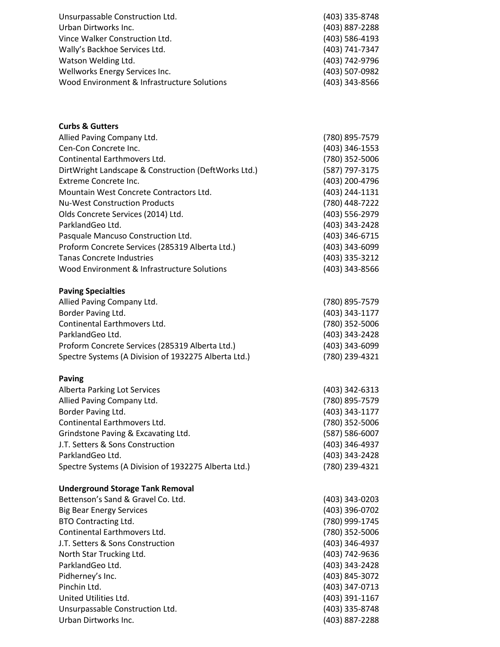| Unsurpassable Construction Ltd.             | (403) 335-8748 |
|---------------------------------------------|----------------|
| Urban Dirtworks Inc.                        | (403) 887-2288 |
| Vince Walker Construction Ltd.              | (403) 586-4193 |
| Wally's Backhoe Services Ltd.               | (403) 741-7347 |
| Watson Welding Ltd.                         | (403) 742-9796 |
| Wellworks Energy Services Inc.              | (403) 507-0982 |
| Wood Environment & Infrastructure Solutions | (403) 343-8566 |

| <b>Curbs &amp; Gutters</b>                           |                |
|------------------------------------------------------|----------------|
| Allied Paving Company Ltd.                           | (780) 895-7579 |
| Cen-Con Concrete Inc.                                | (403) 346-1553 |
| Continental Earthmovers Ltd.                         | (780) 352-5006 |
| DirtWright Landscape & Construction (DeftWorks Ltd.) | (587) 797-3175 |
| <b>Extreme Concrete Inc.</b>                         | (403) 200-4796 |
| Mountain West Concrete Contractors Ltd.              | (403) 244-1131 |
| <b>Nu-West Construction Products</b>                 | (780) 448-7222 |
| Olds Concrete Services (2014) Ltd.                   | (403) 556-2979 |
| ParklandGeo Ltd.                                     | (403) 343-2428 |
| Pasquale Mancuso Construction Ltd.                   | (403) 346-6715 |
| Proform Concrete Services (285319 Alberta Ltd.)      | (403) 343-6099 |
| <b>Tanas Concrete Industries</b>                     | (403) 335-3212 |
| Wood Environment & Infrastructure Solutions          | (403) 343-8566 |
| <b>Paving Specialties</b>                            |                |
| Allied Paving Company Ltd.                           | (780) 895-7579 |
| Border Paving Ltd.                                   | (403) 343-1177 |
| Continental Earthmovers Ltd.                         | (780) 352-5006 |
| ParklandGeo Ltd.                                     | (403) 343-2428 |
| Proform Concrete Services (285319 Alberta Ltd.)      | (403) 343-6099 |
| Spectre Systems (A Division of 1932275 Alberta Ltd.) | (780) 239-4321 |
|                                                      |                |
| <b>Paving</b>                                        |                |
| Alberta Parking Lot Services                         | (403) 342-6313 |
| Allied Paving Company Ltd.                           | (780) 895-7579 |
| Border Paving Ltd.                                   | (403) 343-1177 |
| Continental Earthmovers Ltd.                         | (780) 352-5006 |
| Grindstone Paving & Excavating Ltd.                  | (587) 586-6007 |
| J.T. Setters & Sons Construction                     | (403) 346-4937 |
| ParklandGeo Ltd.                                     | (403) 343-2428 |
| Spectre Systems (A Division of 1932275 Alberta Ltd.) | (780) 239-4321 |
| <b>Underground Storage Tank Removal</b>              |                |
| Bettenson's Sand & Gravel Co. Ltd.                   | (403) 343-0203 |
| <b>Big Bear Energy Services</b>                      | (403) 396-0702 |
| <b>BTO Contracting Ltd.</b>                          | (780) 999-1745 |
| Continental Earthmovers Ltd.                         | (780) 352-5006 |
| J.T. Setters & Sons Construction                     | (403) 346-4937 |
| North Star Trucking Ltd.                             | (403) 742-9636 |
| ParklandGeo Ltd.                                     | (403) 343-2428 |
| Pidherney's Inc.                                     | (403) 845-3072 |
| Pinchin Ltd.                                         | (403) 347-0713 |
| United Utilities Ltd.                                | (403) 391-1167 |
| Unsurpassable Construction Ltd.                      | (403) 335-8748 |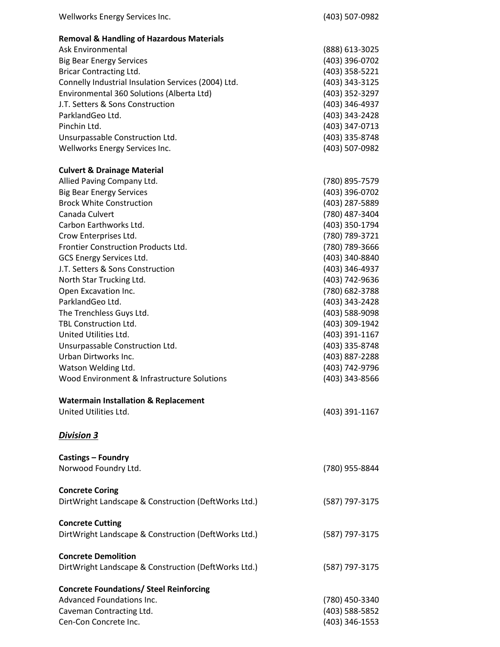| Wellworks Energy Services Inc.                               | (403) 507-0982                   |
|--------------------------------------------------------------|----------------------------------|
| <b>Removal &amp; Handling of Hazardous Materials</b>         |                                  |
| Ask Environmental                                            | (888) 613-3025                   |
| <b>Big Bear Energy Services</b>                              | (403) 396-0702                   |
| <b>Bricar Contracting Ltd.</b>                               | (403) 358-5221                   |
| Connelly Industrial Insulation Services (2004) Ltd.          | (403) 343-3125                   |
| Environmental 360 Solutions (Alberta Ltd)                    | (403) 352-3297                   |
| J.T. Setters & Sons Construction                             | (403) 346-4937                   |
| ParklandGeo Ltd.                                             | (403) 343-2428                   |
| Pinchin Ltd.                                                 | (403) 347-0713                   |
| Unsurpassable Construction Ltd.                              | (403) 335-8748                   |
| Wellworks Energy Services Inc.                               | (403) 507-0982                   |
| <b>Culvert &amp; Drainage Material</b>                       |                                  |
| Allied Paving Company Ltd.                                   | (780) 895-7579                   |
| <b>Big Bear Energy Services</b>                              | (403) 396-0702                   |
| <b>Brock White Construction</b>                              | (403) 287-5889                   |
| Canada Culvert                                               | (780) 487-3404                   |
| Carbon Earthworks Ltd.                                       | (403) 350-1794                   |
| Crow Enterprises Ltd.                                        | (780) 789-3721                   |
| Frontier Construction Products Ltd.                          | (780) 789-3666                   |
|                                                              |                                  |
| GCS Energy Services Ltd.<br>J.T. Setters & Sons Construction | (403) 340-8840                   |
|                                                              | (403) 346-4937                   |
| North Star Trucking Ltd.                                     | (403) 742-9636                   |
| Open Excavation Inc.                                         | (780) 682-3788                   |
| ParklandGeo Ltd.                                             | (403) 343-2428                   |
| The Trenchless Guys Ltd.                                     | (403) 588-9098                   |
| TBL Construction Ltd.                                        | (403) 309-1942                   |
| United Utilities Ltd.                                        | (403) 391-1167                   |
| Unsurpassable Construction Ltd.                              | (403) 335-8748                   |
| Urban Dirtworks Inc.                                         | (403) 887-2288                   |
| Watson Welding Ltd.                                          | (403) 742-9796                   |
| Wood Environment & Infrastructure Solutions                  | (403) 343-8566                   |
| <b>Watermain Installation &amp; Replacement</b>              |                                  |
| United Utilities Ltd.                                        | (403) 391-1167                   |
| <b>Division 3</b>                                            |                                  |
| <b>Castings - Foundry</b>                                    |                                  |
| Norwood Foundry Ltd.                                         | (780) 955-8844                   |
| <b>Concrete Coring</b>                                       |                                  |
| DirtWright Landscape & Construction (DeftWorks Ltd.)         | (587) 797-3175                   |
| <b>Concrete Cutting</b>                                      |                                  |
| DirtWright Landscape & Construction (DeftWorks Ltd.)         | (587) 797-3175                   |
| <b>Concrete Demolition</b>                                   |                                  |
| DirtWright Landscape & Construction (DeftWorks Ltd.)         | (587) 797-3175                   |
| <b>Concrete Foundations/ Steel Reinforcing</b>               |                                  |
| Advanced Foundations Inc.                                    | (780) 450-3340                   |
|                                                              |                                  |
| Caveman Contracting Ltd.<br>Cen-Con Concrete Inc.            | (403) 588-5852<br>(403) 346-1553 |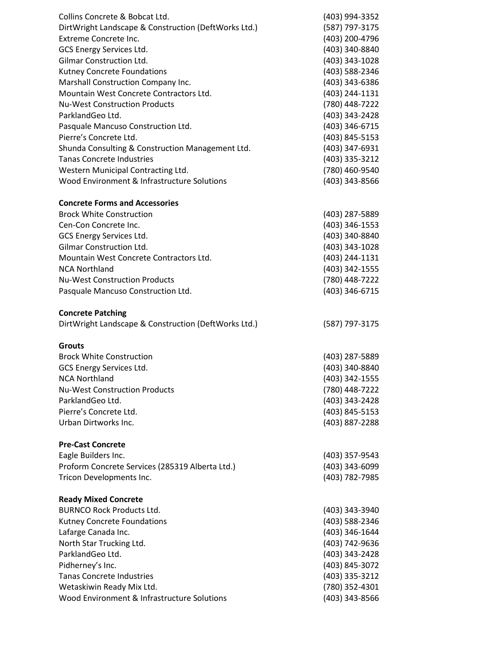| Collins Concrete & Bobcat Ltd.                                                   | (403) 994-3352                   |
|----------------------------------------------------------------------------------|----------------------------------|
| DirtWright Landscape & Construction (DeftWorks Ltd.)                             | (587) 797-3175                   |
| Extreme Concrete Inc.                                                            | (403) 200-4796                   |
| GCS Energy Services Ltd.                                                         | (403) 340-8840                   |
| Gilmar Construction Ltd.                                                         | (403) 343-1028                   |
| Kutney Concrete Foundations                                                      | (403) 588-2346                   |
| Marshall Construction Company Inc.                                               | (403) 343-6386                   |
| Mountain West Concrete Contractors Ltd.                                          | (403) 244-1131                   |
| <b>Nu-West Construction Products</b>                                             | (780) 448-7222                   |
| ParklandGeo Ltd.                                                                 | (403) 343-2428                   |
| Pasquale Mancuso Construction Ltd.                                               | (403) 346-6715                   |
| Pierre's Concrete Ltd.                                                           | (403) 845-5153                   |
| Shunda Consulting & Construction Management Ltd.                                 | (403) 347-6931                   |
| <b>Tanas Concrete Industries</b>                                                 | (403) 335-3212                   |
| Western Municipal Contracting Ltd.                                               | (780) 460-9540                   |
| Wood Environment & Infrastructure Solutions                                      | (403) 343-8566                   |
| <b>Concrete Forms and Accessories</b>                                            |                                  |
| <b>Brock White Construction</b>                                                  | (403) 287-5889                   |
| Cen-Con Concrete Inc.                                                            | (403) 346-1553                   |
| GCS Energy Services Ltd.                                                         | (403) 340-8840                   |
| Gilmar Construction Ltd.                                                         | (403) 343-1028                   |
| Mountain West Concrete Contractors Ltd.                                          | (403) 244-1131                   |
| <b>NCA Northland</b>                                                             | (403) 342-1555                   |
| <b>Nu-West Construction Products</b>                                             | (780) 448-7222                   |
| Pasquale Mancuso Construction Ltd.                                               | (403) 346-6715                   |
| <b>Concrete Patching</b><br>DirtWright Landscape & Construction (DeftWorks Ltd.) | (587) 797-3175                   |
|                                                                                  |                                  |
| <b>Grouts</b>                                                                    |                                  |
| <b>Brock White Construction</b>                                                  | (403) 287-5889                   |
| GCS Energy Services Ltd.                                                         | (403) 340-8840                   |
| <b>NCA Northland</b>                                                             | (403) 342-1555                   |
| <b>Nu-West Construction Products</b>                                             | (780) 448-7222                   |
| ParklandGeo Ltd.                                                                 | (403) 343-2428                   |
| Pierre's Concrete Ltd.                                                           | (403) 845-5153                   |
| Urban Dirtworks Inc.                                                             | (403) 887-2288                   |
| <b>Pre-Cast Concrete</b>                                                         |                                  |
| Eagle Builders Inc.                                                              | (403) 357-9543                   |
| Proform Concrete Services (285319 Alberta Ltd.)                                  | (403) 343-6099                   |
| Tricon Developments Inc.                                                         | (403) 782-7985                   |
| <b>Ready Mixed Concrete</b>                                                      |                                  |
| <b>BURNCO Rock Products Ltd.</b>                                                 | (403) 343-3940                   |
| Kutney Concrete Foundations                                                      | (403) 588-2346                   |
| Lafarge Canada Inc.                                                              | (403) 346-1644                   |
| North Star Trucking Ltd.                                                         | (403) 742-9636                   |
| ParklandGeo Ltd.                                                                 | (403) 343-2428                   |
| Pidherney's Inc.<br><b>Tanas Concrete Industries</b>                             | (403) 845-3072<br>(403) 335-3212 |
| Wetaskiwin Ready Mix Ltd.                                                        | (780) 352-4301                   |
| Wood Environment & Infrastructure Solutions                                      | (403) 343-8566                   |
|                                                                                  |                                  |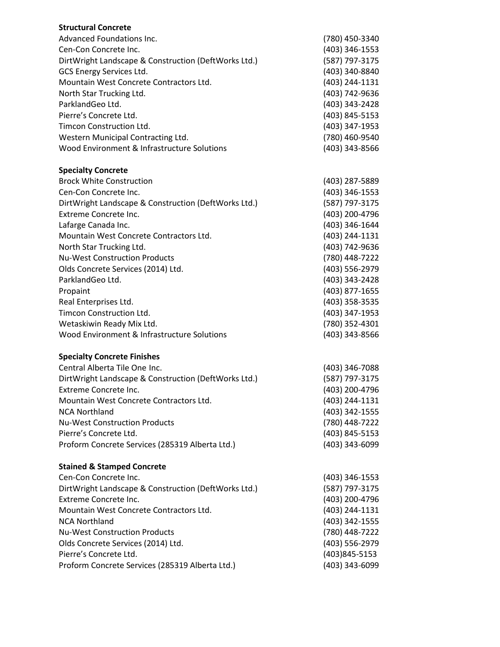| <b>Structural Concrete</b>                           |                |
|------------------------------------------------------|----------------|
| Advanced Foundations Inc.                            | (780) 450-3340 |
| Cen-Con Concrete Inc.                                | (403) 346-1553 |
| DirtWright Landscape & Construction (DeftWorks Ltd.) | (587) 797-3175 |
| GCS Energy Services Ltd.                             | (403) 340-8840 |
| Mountain West Concrete Contractors Ltd.              | (403) 244-1131 |
| North Star Trucking Ltd.                             | (403) 742-9636 |
| ParklandGeo Ltd.                                     | (403) 343-2428 |
| Pierre's Concrete Ltd.                               | (403) 845-5153 |
| Timcon Construction Ltd.                             | (403) 347-1953 |
| Western Municipal Contracting Ltd.                   | (780) 460-9540 |
| Wood Environment & Infrastructure Solutions          | (403) 343-8566 |
| <b>Specialty Concrete</b>                            |                |
| <b>Brock White Construction</b>                      | (403) 287-5889 |
| Cen-Con Concrete Inc.                                | (403) 346-1553 |
| DirtWright Landscape & Construction (DeftWorks Ltd.) | (587) 797-3175 |
| Extreme Concrete Inc.                                | (403) 200-4796 |
| Lafarge Canada Inc.                                  | (403) 346-1644 |
| Mountain West Concrete Contractors Ltd.              | (403) 244-1131 |
| North Star Trucking Ltd.                             | (403) 742-9636 |
| <b>Nu-West Construction Products</b>                 | (780) 448-7222 |
| Olds Concrete Services (2014) Ltd.                   | (403) 556-2979 |
| ParklandGeo Ltd.                                     | (403) 343-2428 |
| Propaint                                             | (403) 877-1655 |
| Real Enterprises Ltd.                                | (403) 358-3535 |
| Timcon Construction Ltd.                             | (403) 347-1953 |
| Wetaskiwin Ready Mix Ltd.                            | (780) 352-4301 |
| Wood Environment & Infrastructure Solutions          | (403) 343-8566 |
| <b>Specialty Concrete Finishes</b>                   |                |
| Central Alberta Tile One Inc.                        | (403) 346-7088 |
| DirtWright Landscape & Construction (DeftWorks Ltd.) | (587) 797-3175 |
| Extreme Concrete Inc.                                | (403) 200-4796 |
| Mountain West Concrete Contractors Ltd.              | (403) 244-1131 |
| <b>NCA Northland</b>                                 | (403) 342-1555 |
| <b>Nu-West Construction Products</b>                 | (780) 448-7222 |
| Pierre's Concrete Ltd.                               | (403) 845-5153 |
| Proform Concrete Services (285319 Alberta Ltd.)      | (403) 343-6099 |
| <b>Stained &amp; Stamped Concrete</b>                |                |
| Cen-Con Concrete Inc.                                | (403) 346-1553 |
| DirtWright Landscape & Construction (DeftWorks Ltd.) | (587) 797-3175 |
| Extreme Concrete Inc.                                | (403) 200-4796 |
| Mountain West Concrete Contractors Ltd.              | (403) 244-1131 |
| <b>NCA Northland</b>                                 | (403) 342-1555 |
| <b>Nu-West Construction Products</b>                 | (780) 448-7222 |
| Olds Concrete Services (2014) Ltd.                   | (403) 556-2979 |
| Pierre's Concrete Ltd.                               | (403)845-5153  |
| Proform Concrete Services (285319 Alberta Ltd.)      | (403) 343-6099 |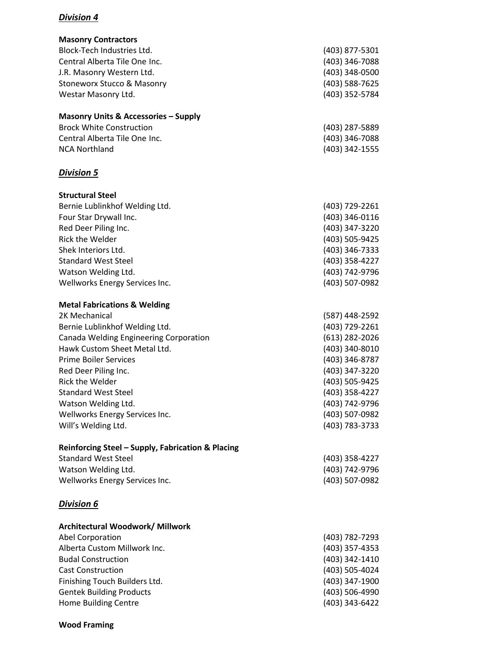| <b>Masonry Contractors</b>                        |                  |
|---------------------------------------------------|------------------|
| Block-Tech Industries Ltd.                        | (403) 877-5301   |
| Central Alberta Tile One Inc.                     | (403) 346-7088   |
|                                                   | (403) 348-0500   |
| J.R. Masonry Western Ltd.                         |                  |
| <b>Stoneworx Stucco &amp; Masonry</b>             | (403) 588-7625   |
| Westar Masonry Ltd.                               | (403) 352-5784   |
| <b>Masonry Units &amp; Accessories - Supply</b>   |                  |
| <b>Brock White Construction</b>                   | (403) 287-5889   |
| Central Alberta Tile One Inc.                     | (403) 346-7088   |
| <b>NCA Northland</b>                              | (403) 342-1555   |
| <b>Division 5</b>                                 |                  |
| <b>Structural Steel</b>                           |                  |
| Bernie Lublinkhof Welding Ltd.                    | (403) 729-2261   |
| Four Star Drywall Inc.                            | (403) 346-0116   |
| Red Deer Piling Inc.                              | (403) 347-3220   |
| <b>Rick the Welder</b>                            | (403) 505-9425   |
| Shek Interiors Ltd.                               | (403) 346-7333   |
| <b>Standard West Steel</b>                        | (403) 358-4227   |
| Watson Welding Ltd.                               | (403) 742-9796   |
| Wellworks Energy Services Inc.                    | (403) 507-0982   |
|                                                   |                  |
| <b>Metal Fabrications &amp; Welding</b>           |                  |
| 2K Mechanical                                     | (587) 448-2592   |
| Bernie Lublinkhof Welding Ltd.                    | (403) 729-2261   |
| Canada Welding Engineering Corporation            | $(613)$ 282-2026 |
| Hawk Custom Sheet Metal Ltd.                      | (403) 340-8010   |
| <b>Prime Boiler Services</b>                      | (403) 346-8787   |
| Red Deer Piling Inc.                              | (403) 347-3220   |
| Rick the Welder                                   | (403) 505-9425   |
| <b>Standard West Steel</b>                        | (403) 358-4227   |
| Watson Welding Ltd.                               | (403) 742-9796   |
| Wellworks Energy Services Inc.                    | (403) 507-0982   |
| Will's Welding Ltd.                               | (403) 783-3733   |
| Reinforcing Steel - Supply, Fabrication & Placing |                  |
| <b>Standard West Steel</b>                        | (403) 358-4227   |
| Watson Welding Ltd.                               | (403) 742-9796   |
| Wellworks Energy Services Inc.                    | (403) 507-0982   |
| <b>Division 6</b>                                 |                  |
| Architectural Woodwork/ Millwork                  |                  |
| Abel Corporation                                  | (403) 782-7293   |
| Alberta Custom Millwork Inc.                      | (403) 357-4353   |
| <b>Budal Construction</b>                         | (403) 342-1410   |
| <b>Cast Construction</b>                          | (403) 505-4024   |
| Finishing Touch Builders Ltd.                     | (403) 347-1900   |
| <b>Gentek Building Products</b>                   | (403) 506-4990   |
| Home Building Centre                              | (403) 343-6422   |
|                                                   |                  |

### **Wood Framing**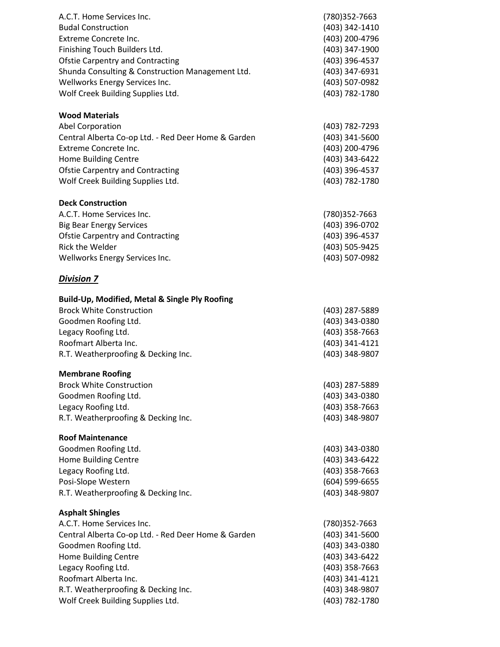| A.C.T. Home Services Inc.<br><b>Budal Construction</b><br>Extreme Concrete Inc.<br>Finishing Touch Builders Ltd.<br><b>Ofstie Carpentry and Contracting</b><br>Shunda Consulting & Construction Management Ltd.<br>Wellworks Energy Services Inc.<br>Wolf Creek Building Supplies Ltd.         | (780)352-7663<br>(403) 342-1410<br>(403) 200-4796<br>(403) 347-1900<br>(403) 396-4537<br>(403) 347-6931<br>(403) 507-0982<br>(403) 782-1780 |
|------------------------------------------------------------------------------------------------------------------------------------------------------------------------------------------------------------------------------------------------------------------------------------------------|---------------------------------------------------------------------------------------------------------------------------------------------|
| <b>Wood Materials</b><br>Abel Corporation<br>Central Alberta Co-op Ltd. - Red Deer Home & Garden<br>Extreme Concrete Inc.<br>Home Building Centre<br><b>Ofstie Carpentry and Contracting</b><br>Wolf Creek Building Supplies Ltd.                                                              | (403) 782-7293<br>(403) 341-5600<br>(403) 200-4796<br>(403) 343-6422<br>(403) 396-4537<br>(403) 782-1780                                    |
| <b>Deck Construction</b><br>A.C.T. Home Services Inc.<br><b>Big Bear Energy Services</b><br><b>Ofstie Carpentry and Contracting</b><br>Rick the Welder<br>Wellworks Energy Services Inc.                                                                                                       | (780)352-7663<br>(403) 396-0702<br>(403) 396-4537<br>(403) 505-9425<br>(403) 507-0982                                                       |
| <b>Division 7</b>                                                                                                                                                                                                                                                                              |                                                                                                                                             |
| Build-Up, Modified, Metal & Single Ply Roofing<br><b>Brock White Construction</b><br>Goodmen Roofing Ltd.<br>Legacy Roofing Ltd.<br>Roofmart Alberta Inc.<br>R.T. Weatherproofing & Decking Inc.<br><b>Membrane Roofing</b>                                                                    | (403) 287-5889<br>(403) 343-0380<br>(403) 358-7663<br>(403) 341-4121<br>(403) 348-9807                                                      |
| <b>Brock White Construction</b><br>Goodmen Roofing Ltd.<br>Legacy Roofing Ltd.<br>R.T. Weatherproofing & Decking Inc.                                                                                                                                                                          | (403) 287-5889<br>(403) 343-0380<br>(403) 358-7663<br>(403) 348-9807                                                                        |
| <b>Roof Maintenance</b><br>Goodmen Roofing Ltd.<br>Home Building Centre<br>Legacy Roofing Ltd.<br>Posi-Slope Western<br>R.T. Weatherproofing & Decking Inc.                                                                                                                                    | (403) 343-0380<br>(403) 343-6422<br>(403) 358-7663<br>(604) 599-6655<br>(403) 348-9807                                                      |
| <b>Asphalt Shingles</b><br>A.C.T. Home Services Inc.<br>Central Alberta Co-op Ltd. - Red Deer Home & Garden<br>Goodmen Roofing Ltd.<br><b>Home Building Centre</b><br>Legacy Roofing Ltd.<br>Roofmart Alberta Inc.<br>R.T. Weatherproofing & Decking Inc.<br>Wolf Creek Building Supplies Ltd. | (780)352-7663<br>(403) 341-5600<br>(403) 343-0380<br>(403) 343-6422<br>(403) 358-7663<br>(403) 341-4121<br>(403) 348-9807<br>(403) 782-1780 |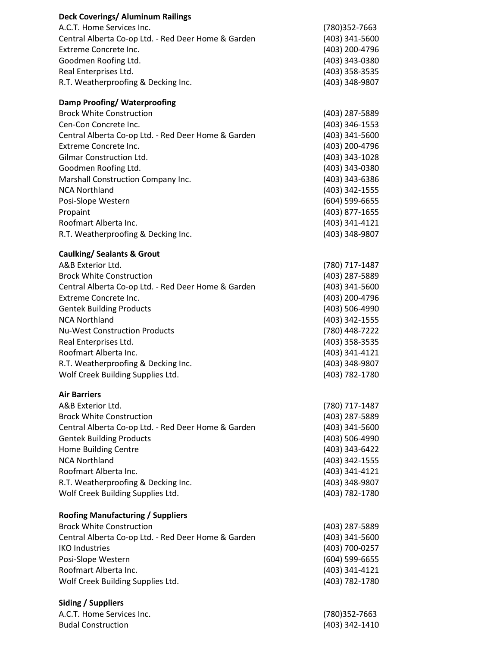| <b>Deck Coverings/ Aluminum Railings</b>            |                  |
|-----------------------------------------------------|------------------|
| A.C.T. Home Services Inc.                           | (780)352-7663    |
| Central Alberta Co-op Ltd. - Red Deer Home & Garden | (403) 341-5600   |
| Extreme Concrete Inc.                               | (403) 200-4796   |
| Goodmen Roofing Ltd.                                | (403) 343-0380   |
| Real Enterprises Ltd.                               | (403) 358-3535   |
| R.T. Weatherproofing & Decking Inc.                 | (403) 348-9807   |
|                                                     |                  |
| Damp Proofing/Waterproofing                         |                  |
| <b>Brock White Construction</b>                     | (403) 287-5889   |
| Cen-Con Concrete Inc.                               | (403) 346-1553   |
| Central Alberta Co-op Ltd. - Red Deer Home & Garden | (403) 341-5600   |
| <b>Extreme Concrete Inc.</b>                        | (403) 200-4796   |
| Gilmar Construction Ltd.                            | (403) 343-1028   |
| Goodmen Roofing Ltd.                                | (403) 343-0380   |
| Marshall Construction Company Inc.                  | (403) 343-6386   |
| <b>NCA Northland</b>                                | (403) 342-1555   |
| Posi-Slope Western                                  | $(604)$ 599-6655 |
| Propaint                                            | (403) 877-1655   |
| Roofmart Alberta Inc.                               | (403) 341-4121   |
| R.T. Weatherproofing & Decking Inc.                 | (403) 348-9807   |
|                                                     |                  |
| <b>Caulking/ Sealants &amp; Grout</b>               |                  |
| A&B Exterior Ltd.                                   | (780) 717-1487   |
| <b>Brock White Construction</b>                     | (403) 287-5889   |
| Central Alberta Co-op Ltd. - Red Deer Home & Garden | (403) 341-5600   |
| Extreme Concrete Inc.                               | (403) 200-4796   |
| <b>Gentek Building Products</b>                     | (403) 506-4990   |
| <b>NCA Northland</b>                                | (403) 342-1555   |
| <b>Nu-West Construction Products</b>                | (780) 448-7222   |
| Real Enterprises Ltd.                               | (403) 358-3535   |
| Roofmart Alberta Inc.                               | (403) 341-4121   |
| R.T. Weatherproofing & Decking Inc.                 | (403) 348-9807   |
| Wolf Creek Building Supplies Ltd.                   | (403) 782-1780   |
| <b>Air Barriers</b>                                 |                  |
| A&B Exterior Ltd.                                   | (780) 717-1487   |
| <b>Brock White Construction</b>                     | (403) 287-5889   |
| Central Alberta Co-op Ltd. - Red Deer Home & Garden | (403) 341-5600   |
| <b>Gentek Building Products</b>                     | (403) 506-4990   |
| Home Building Centre                                | (403) 343-6422   |
| <b>NCA Northland</b>                                | (403) 342-1555   |
| Roofmart Alberta Inc.                               | (403) 341-4121   |
| R.T. Weatherproofing & Decking Inc.                 | (403) 348-9807   |
| Wolf Creek Building Supplies Ltd.                   | (403) 782-1780   |
|                                                     |                  |
| <b>Roofing Manufacturing / Suppliers</b>            |                  |
| <b>Brock White Construction</b>                     | (403) 287-5889   |
| Central Alberta Co-op Ltd. - Red Deer Home & Garden | (403) 341-5600   |
| <b>IKO Industries</b>                               | (403) 700-0257   |
| Posi-Slope Western                                  | (604) 599-6655   |
| Roofmart Alberta Inc.                               | (403) 341-4121   |
| Wolf Creek Building Supplies Ltd.                   | (403) 782-1780   |
|                                                     |                  |
| Siding / Suppliers                                  |                  |
| A.C.T. Home Services Inc.                           | (780)352-7663    |
| <b>Budal Construction</b>                           | (403) 342-1410   |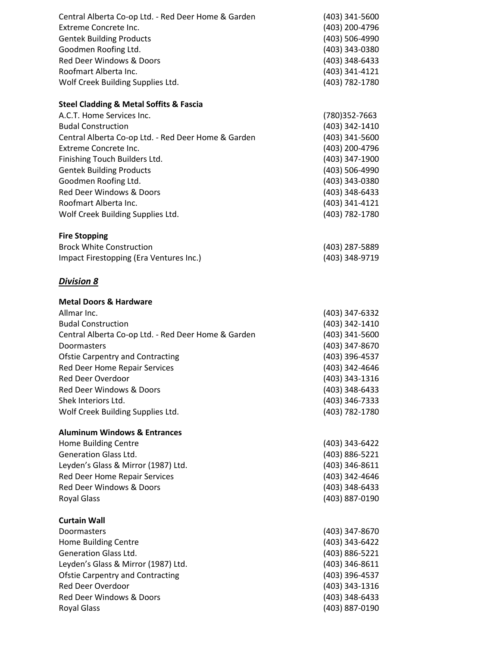| Central Alberta Co-op Ltd. - Red Deer Home & Garden<br>Extreme Concrete Inc.<br><b>Gentek Building Products</b><br>Goodmen Roofing Ltd.<br>Red Deer Windows & Doors<br>Roofmart Alberta Inc.<br>Wolf Creek Building Supplies Ltd. | (403) 341-5600<br>(403) 200-4796<br>(403) 506-4990<br>(403) 343-0380<br>(403) 348-6433<br>(403) 341-4121<br>(403) 782-1780 |
|-----------------------------------------------------------------------------------------------------------------------------------------------------------------------------------------------------------------------------------|----------------------------------------------------------------------------------------------------------------------------|
| <b>Steel Cladding &amp; Metal Soffits &amp; Fascia</b><br>A.C.T. Home Services Inc.                                                                                                                                               | (780)352-7663                                                                                                              |
| <b>Budal Construction</b>                                                                                                                                                                                                         | (403) 342-1410                                                                                                             |
| Central Alberta Co-op Ltd. - Red Deer Home & Garden                                                                                                                                                                               | (403) 341-5600                                                                                                             |
| <b>Extreme Concrete Inc.</b>                                                                                                                                                                                                      | (403) 200-4796                                                                                                             |
| Finishing Touch Builders Ltd.                                                                                                                                                                                                     | (403) 347-1900                                                                                                             |
| <b>Gentek Building Products</b>                                                                                                                                                                                                   | (403) 506-4990                                                                                                             |
| Goodmen Roofing Ltd.                                                                                                                                                                                                              | (403) 343-0380                                                                                                             |
| Red Deer Windows & Doors                                                                                                                                                                                                          | (403) 348-6433                                                                                                             |
| Roofmart Alberta Inc.<br>Wolf Creek Building Supplies Ltd.                                                                                                                                                                        | (403) 341-4121<br>(403) 782-1780                                                                                           |
|                                                                                                                                                                                                                                   |                                                                                                                            |
| <b>Fire Stopping</b>                                                                                                                                                                                                              |                                                                                                                            |
| <b>Brock White Construction</b>                                                                                                                                                                                                   | (403) 287-5889                                                                                                             |
| Impact Firestopping (Era Ventures Inc.)                                                                                                                                                                                           | (403) 348-9719                                                                                                             |
| <b>Division 8</b>                                                                                                                                                                                                                 |                                                                                                                            |
| <b>Metal Doors &amp; Hardware</b>                                                                                                                                                                                                 |                                                                                                                            |
| Allmar Inc.                                                                                                                                                                                                                       | (403) 347-6332                                                                                                             |
| <b>Budal Construction</b>                                                                                                                                                                                                         | (403) 342-1410                                                                                                             |
| Central Alberta Co-op Ltd. - Red Deer Home & Garden                                                                                                                                                                               | (403) 341-5600                                                                                                             |
| Doormasters                                                                                                                                                                                                                       | (403) 347-8670                                                                                                             |
| <b>Ofstie Carpentry and Contracting</b>                                                                                                                                                                                           | (403) 396-4537                                                                                                             |
| Red Deer Home Repair Services<br><b>Red Deer Overdoor</b>                                                                                                                                                                         | (403) 342-4646<br>(403) 343-1316                                                                                           |
| Red Deer Windows & Doors                                                                                                                                                                                                          | (403) 348-6433                                                                                                             |
| Shek Interiors Ltd.                                                                                                                                                                                                               | (403) 346-7333                                                                                                             |
| Wolf Creek Building Supplies Ltd.                                                                                                                                                                                                 | (403) 782-1780                                                                                                             |
|                                                                                                                                                                                                                                   |                                                                                                                            |
| <b>Aluminum Windows &amp; Entrances</b>                                                                                                                                                                                           |                                                                                                                            |
| Home Building Centre                                                                                                                                                                                                              | (403) 343-6422                                                                                                             |
| <b>Generation Glass Ltd.</b>                                                                                                                                                                                                      | (403) 886-5221                                                                                                             |
| Leyden's Glass & Mirror (1987) Ltd.                                                                                                                                                                                               | (403) 346-8611                                                                                                             |
| Red Deer Home Repair Services<br>Red Deer Windows & Doors                                                                                                                                                                         | (403) 342-4646<br>(403) 348-6433                                                                                           |
| <b>Royal Glass</b>                                                                                                                                                                                                                | (403) 887-0190                                                                                                             |
|                                                                                                                                                                                                                                   |                                                                                                                            |
| <b>Curtain Wall</b>                                                                                                                                                                                                               |                                                                                                                            |
| Doormasters                                                                                                                                                                                                                       | (403) 347-8670                                                                                                             |
| Home Building Centre                                                                                                                                                                                                              | (403) 343-6422                                                                                                             |
| <b>Generation Glass Ltd.</b>                                                                                                                                                                                                      | (403) 886-5221                                                                                                             |
| Leyden's Glass & Mirror (1987) Ltd.<br><b>Ofstie Carpentry and Contracting</b>                                                                                                                                                    | (403) 346-8611<br>(403) 396-4537                                                                                           |
| Red Deer Overdoor                                                                                                                                                                                                                 | (403) 343-1316                                                                                                             |
| Red Deer Windows & Doors                                                                                                                                                                                                          | (403) 348-6433                                                                                                             |
| <b>Royal Glass</b>                                                                                                                                                                                                                | (403) 887-0190                                                                                                             |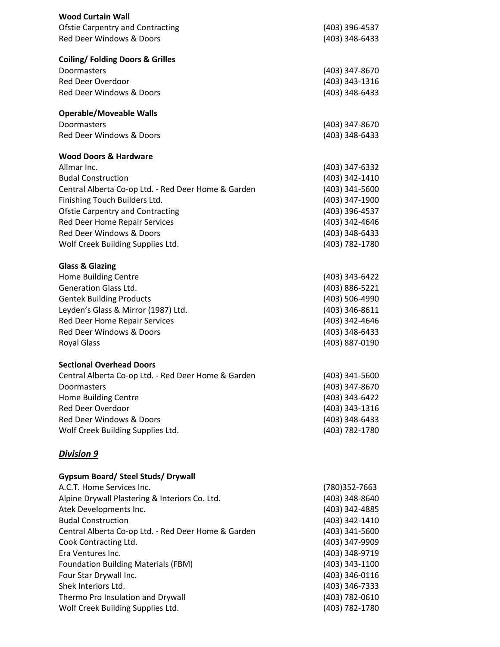| <b>Wood Curtain Wall</b>                                            |                                  |
|---------------------------------------------------------------------|----------------------------------|
| <b>Ofstie Carpentry and Contracting</b><br>Red Deer Windows & Doors | (403) 396-4537<br>(403) 348-6433 |
|                                                                     |                                  |
| <b>Coiling/ Folding Doors &amp; Grilles</b>                         |                                  |
| Doormasters<br><b>Red Deer Overdoor</b>                             | (403) 347-8670                   |
| Red Deer Windows & Doors                                            | (403) 343-1316                   |
|                                                                     | (403) 348-6433                   |
| <b>Operable/Moveable Walls</b>                                      |                                  |
| Doormasters<br>Red Deer Windows & Doors                             | (403) 347-8670<br>(403) 348-6433 |
| <b>Wood Doors &amp; Hardware</b>                                    |                                  |
| Allmar Inc.                                                         | (403) 347-6332                   |
| <b>Budal Construction</b>                                           | (403) 342-1410                   |
| Central Alberta Co-op Ltd. - Red Deer Home & Garden                 | (403) 341-5600                   |
| Finishing Touch Builders Ltd.                                       | (403) 347-1900                   |
| <b>Ofstie Carpentry and Contracting</b>                             | (403) 396-4537                   |
| Red Deer Home Repair Services                                       | (403) 342-4646                   |
| Red Deer Windows & Doors                                            | (403) 348-6433                   |
| Wolf Creek Building Supplies Ltd.                                   | (403) 782-1780                   |
| <b>Glass &amp; Glazing</b>                                          |                                  |
| Home Building Centre                                                | (403) 343-6422                   |
| <b>Generation Glass Ltd.</b>                                        | (403) 886-5221                   |
| <b>Gentek Building Products</b>                                     | (403) 506-4990                   |
| Leyden's Glass & Mirror (1987) Ltd.                                 | (403) 346-8611                   |
| Red Deer Home Repair Services                                       | (403) 342-4646                   |
| <b>Red Deer Windows &amp; Doors</b>                                 | (403) 348-6433                   |
| <b>Royal Glass</b>                                                  | (403) 887-0190                   |
| <b>Sectional Overhead Doors</b>                                     |                                  |
| Central Alberta Co-op Ltd. - Red Deer Home & Garden                 | (403) 341-5600                   |
| Doormasters                                                         | (403) 347-8670                   |
| Home Building Centre                                                | (403) 343-6422                   |
| Red Deer Overdoor                                                   | (403) 343-1316                   |
| Red Deer Windows & Doors                                            | (403) 348-6433                   |
| Wolf Creek Building Supplies Ltd.                                   | (403) 782-1780                   |
| <b>Division 9</b>                                                   |                                  |
| <b>Gypsum Board/ Steel Studs/ Drywall</b>                           |                                  |
| A.C.T. Home Services Inc.                                           | (780)352-7663                    |
| Alpine Drywall Plastering & Interiors Co. Ltd.                      | (403) 348-8640                   |
| Atek Developments Inc.                                              | (403) 342-4885                   |
| <b>Budal Construction</b>                                           | (403) 342-1410                   |
| Central Alberta Co-op Ltd. - Red Deer Home & Garden                 | (403) 341-5600                   |
| Cook Contracting Ltd.                                               | (403) 347-9909                   |
| Era Ventures Inc.                                                   | (403) 348-9719                   |
| <b>Foundation Building Materials (FBM)</b>                          | (403) 343-1100                   |
| Four Star Drywall Inc.                                              | (403) 346-0116                   |
| Shek Interiors Ltd.                                                 | (403) 346-7333                   |
| Thermo Pro Insulation and Drywall                                   | (403) 782-0610                   |
| Wolf Creek Building Supplies Ltd.                                   | (403) 782-1780                   |
|                                                                     |                                  |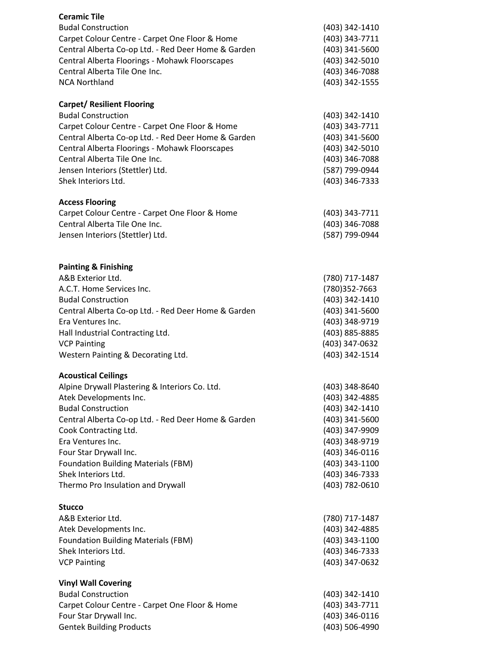| <b>Ceramic Tile</b>                                                             |                                  |
|---------------------------------------------------------------------------------|----------------------------------|
| <b>Budal Construction</b>                                                       | (403) 342-1410                   |
| Carpet Colour Centre - Carpet One Floor & Home                                  | (403) 343-7711                   |
| Central Alberta Co-op Ltd. - Red Deer Home & Garden                             | (403) 341-5600                   |
| Central Alberta Floorings - Mohawk Floorscapes                                  | (403) 342-5010                   |
| Central Alberta Tile One Inc.                                                   | (403) 346-7088                   |
| <b>NCA Northland</b>                                                            | (403) 342-1555                   |
| <b>Carpet/ Resilient Flooring</b>                                               |                                  |
| <b>Budal Construction</b>                                                       | (403) 342-1410                   |
| Carpet Colour Centre - Carpet One Floor & Home                                  | (403) 343-7711                   |
| Central Alberta Co-op Ltd. - Red Deer Home & Garden                             | (403) 341-5600                   |
| Central Alberta Floorings - Mohawk Floorscapes                                  | (403) 342-5010                   |
| Central Alberta Tile One Inc.                                                   | (403) 346-7088                   |
| Jensen Interiors (Stettler) Ltd.                                                | (587) 799-0944                   |
| Shek Interiors Ltd.                                                             | (403) 346-7333                   |
| <b>Access Flooring</b>                                                          |                                  |
| Carpet Colour Centre - Carpet One Floor & Home<br>Central Alberta Tile One Inc. | (403) 343-7711                   |
| Jensen Interiors (Stettler) Ltd.                                                | (403) 346-7088<br>(587) 799-0944 |
|                                                                                 |                                  |
| <b>Painting &amp; Finishing</b>                                                 |                                  |
| A&B Exterior Ltd.                                                               | (780) 717-1487                   |
| A.C.T. Home Services Inc.                                                       | (780)352-7663                    |
| <b>Budal Construction</b>                                                       | (403) 342-1410                   |
| Central Alberta Co-op Ltd. - Red Deer Home & Garden                             | (403) 341-5600                   |
| Era Ventures Inc.                                                               | (403) 348-9719                   |
| Hall Industrial Contracting Ltd.                                                | (403) 885-8885                   |
| <b>VCP Painting</b>                                                             | (403) 347-0632                   |
| Western Painting & Decorating Ltd.                                              | (403) 342-1514                   |
| <b>Acoustical Ceilings</b>                                                      |                                  |
| Alpine Drywall Plastering & Interiors Co. Ltd.                                  | (403) 348-8640                   |
| Atek Developments Inc.                                                          | (403) 342-4885                   |
| <b>Budal Construction</b>                                                       | (403) 342-1410                   |
| Central Alberta Co-op Ltd. - Red Deer Home & Garden                             | (403) 341-5600                   |
| Cook Contracting Ltd.<br>Era Ventures Inc.                                      | (403) 347-9909                   |
| Four Star Drywall Inc.                                                          | (403) 348-9719<br>(403) 346-0116 |
| <b>Foundation Building Materials (FBM)</b>                                      | (403) 343-1100                   |
| Shek Interiors Ltd.                                                             | (403) 346-7333                   |
| Thermo Pro Insulation and Drywall                                               | (403) 782-0610                   |
| <b>Stucco</b>                                                                   |                                  |
| A&B Exterior Ltd.                                                               | (780) 717-1487                   |
| Atek Developments Inc.                                                          | (403) 342-4885                   |
| <b>Foundation Building Materials (FBM)</b>                                      | (403) 343-1100                   |
| Shek Interiors Ltd.                                                             | (403) 346-7333                   |
| <b>VCP Painting</b>                                                             | (403) 347-0632                   |
| <b>Vinyl Wall Covering</b>                                                      |                                  |
| <b>Budal Construction</b>                                                       | (403) 342-1410                   |
| Carpet Colour Centre - Carpet One Floor & Home                                  | (403) 343-7711                   |
| Four Star Drywall Inc.                                                          | (403) 346-0116                   |
| <b>Gentek Building Products</b>                                                 | (403) 506-4990                   |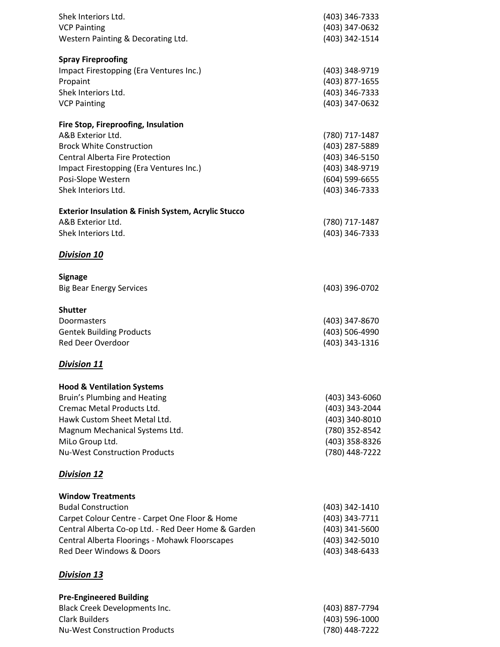| Shek Interiors Ltd.<br><b>VCP Painting</b><br>Western Painting & Decorating Ltd.                                                                                                                                                                        | (403) 346-7333<br>(403) 347-0632<br>(403) 342-1514                                                       |
|---------------------------------------------------------------------------------------------------------------------------------------------------------------------------------------------------------------------------------------------------------|----------------------------------------------------------------------------------------------------------|
| <b>Spray Fireproofing</b><br>Impact Firestopping (Era Ventures Inc.)<br>Propaint<br>Shek Interiors Ltd.<br><b>VCP Painting</b>                                                                                                                          | (403) 348-9719<br>(403) 877-1655<br>(403) 346-7333<br>(403) 347-0632                                     |
| Fire Stop, Fireproofing, Insulation<br>A&B Exterior Ltd.<br><b>Brock White Construction</b><br><b>Central Alberta Fire Protection</b><br>Impact Firestopping (Era Ventures Inc.)<br>Posi-Slope Western<br>Shek Interiors Ltd.                           | (780) 717-1487<br>(403) 287-5889<br>(403) 346-5150<br>(403) 348-9719<br>(604) 599-6655<br>(403) 346-7333 |
| <b>Exterior Insulation &amp; Finish System, Acrylic Stucco</b><br>A&B Exterior Ltd.<br>Shek Interiors Ltd.                                                                                                                                              | (780) 717-1487<br>(403) 346-7333                                                                         |
| <b>Division 10</b>                                                                                                                                                                                                                                      |                                                                                                          |
| <b>Signage</b><br><b>Big Bear Energy Services</b>                                                                                                                                                                                                       | (403) 396-0702                                                                                           |
| <b>Shutter</b><br>Doormasters<br><b>Gentek Building Products</b><br><b>Red Deer Overdoor</b>                                                                                                                                                            | (403) 347-8670<br>(403) 506-4990<br>(403) 343-1316                                                       |
| <b>Division 11</b>                                                                                                                                                                                                                                      |                                                                                                          |
| <b>Hood &amp; Ventilation Systems</b><br>Bruin's Plumbing and Heating<br>Cremac Metal Products Ltd.<br>Hawk Custom Sheet Metal Ltd.<br>Magnum Mechanical Systems Ltd.<br>MiLo Group Ltd.<br><b>Nu-West Construction Products</b>                        | (403) 343-6060<br>(403) 343-2044<br>(403) 340-8010<br>(780) 352-8542<br>(403) 358-8326<br>(780) 448-7222 |
| <b>Division 12</b>                                                                                                                                                                                                                                      |                                                                                                          |
| <b>Window Treatments</b><br><b>Budal Construction</b><br>Carpet Colour Centre - Carpet One Floor & Home<br>Central Alberta Co-op Ltd. - Red Deer Home & Garden<br>Central Alberta Floorings - Mohawk Floorscapes<br><b>Red Deer Windows &amp; Doors</b> | (403) 342-1410<br>(403) 343-7711<br>(403) 341-5600<br>(403) 342-5010<br>(403) 348-6433                   |
| <b>Division 13</b>                                                                                                                                                                                                                                      |                                                                                                          |
| <b>Pre-Engineered Building</b><br><b>Black Creek Developments Inc.</b><br><b>Clark Builders</b><br><b>Nu-West Construction Products</b>                                                                                                                 | (403) 887-7794<br>(403) 596-1000<br>(780) 448-7222                                                       |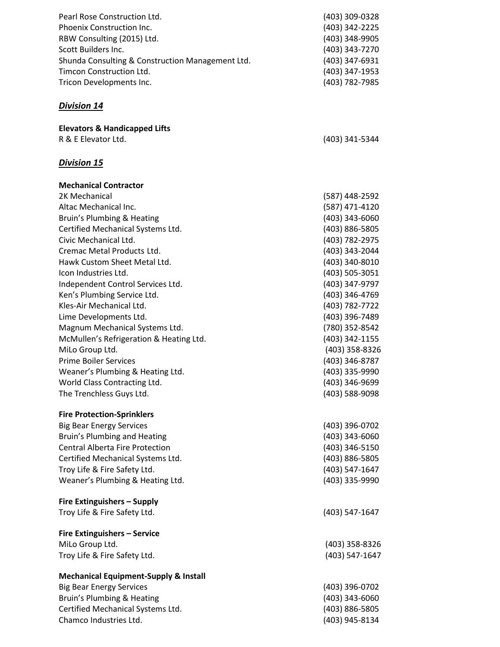| Pearl Rose Construction Ltd.                     | (403) 309-0328 |
|--------------------------------------------------|----------------|
| Phoenix Construction Inc.                        | (403) 342-2225 |
| RBW Consulting (2015) Ltd.                       | (403) 348-9905 |
| Scott Builders Inc.                              | (403) 343-7270 |
| Shunda Consulting & Construction Management Ltd. | (403) 347-6931 |
| Timcon Construction Ltd.                         | (403) 347-1953 |
| Tricon Developments Inc.                         | (403) 782-7985 |

| <b>Elevators &amp; Handicapped Lifts</b> |                |
|------------------------------------------|----------------|
| R & E Elevator Ltd.                      | (403) 341-5344 |

# *Division 15*

| <b>Mechanical Contractor</b>            |                |
|-----------------------------------------|----------------|
| 2K Mechanical                           | (587) 448-2592 |
| Altac Mechanical Inc.                   | (587) 471-4120 |
| Bruin's Plumbing & Heating              | (403) 343-6060 |
| Certified Mechanical Systems Ltd.       | (403) 886-5805 |
| Civic Mechanical Ltd.                   | (403) 782-2975 |
| Cremac Metal Products Ltd.              | (403) 343-2044 |
| Hawk Custom Sheet Metal Ltd.            | (403) 340-8010 |
| Icon Industries Ltd.                    | (403) 505-3051 |
| Independent Control Services Ltd.       | (403) 347-9797 |
| Ken's Plumbing Service Ltd.             | (403) 346-4769 |
| Kles-Air Mechanical Ltd.                | (403) 782-7722 |
| Lime Developments Ltd.                  | (403) 396-7489 |
| Magnum Mechanical Systems Ltd.          | (780) 352-8542 |
| McMullen's Refrigeration & Heating Ltd. | (403) 342-1155 |
| MiLo Group Ltd.                         | (403) 358-8326 |
| <b>Prime Boiler Services</b>            | (403) 346-8787 |
| Weaner's Plumbing & Heating Ltd.        | (403) 335-9990 |
| World Class Contracting Ltd.            | (403) 346-9699 |
| The Trenchless Guys Ltd.                | (403) 588-9098 |
| <b>Fire Protection-Sprinklers</b>       |                |
| <b>Big Bear Energy Services</b>         | (403) 396-0702 |
| Bruin's Plumbing and Heating            | (403) 343-6060 |
| <b>Central Alberta Fire Protection</b>  | (403) 346-5150 |
| Certified Mechanical Systems Ltd.       | (403) 886-5805 |
| Troy Life & Fire Safety Ltd.            | (403) 547-1647 |
| Weaner's Plumbing & Heating Ltd.        | (403) 335-9990 |
| <b>Fire Extinguishers - Supply</b>      |                |
| Troy Life & Fire Safety Ltd.            | (403) 547-1647 |
|                                         |                |

# **Fire Extinguishers – Service**

MiLo Group Ltd. (403) 358-8326 Troy Life & Fire Safety Ltd. (403) 547-1647

# **Mechanical Equipment-Supply & Install**

| Big Bear Energy Services          | (403) 396-0702 |
|-----------------------------------|----------------|
| Bruin's Plumbing & Heating        | (403) 343-6060 |
| Certified Mechanical Systems Ltd. | (403) 886-5805 |
| Chamco Industries Ltd.            | (403) 945-8134 |
|                                   |                |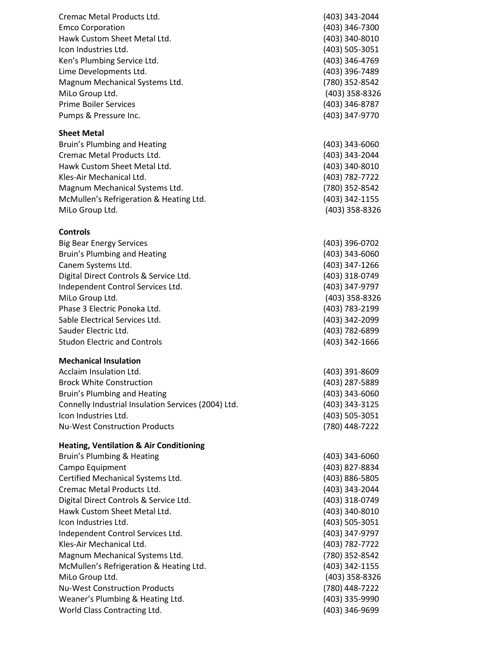| Cremac Metal Products Ltd.                          | (403) 343-2044 |
|-----------------------------------------------------|----------------|
| <b>Emco Corporation</b>                             | (403) 346-7300 |
| Hawk Custom Sheet Metal Ltd.                        | (403) 340-8010 |
| Icon Industries Ltd.                                | (403) 505-3051 |
| Ken's Plumbing Service Ltd.                         | (403) 346-4769 |
| Lime Developments Ltd.                              | (403) 396-7489 |
| Magnum Mechanical Systems Ltd.                      | (780) 352-8542 |
| MiLo Group Ltd.                                     | (403) 358-8326 |
| <b>Prime Boiler Services</b>                        | (403) 346-8787 |
| Pumps & Pressure Inc.                               | (403) 347-9770 |
| <b>Sheet Metal</b>                                  |                |
| Bruin's Plumbing and Heating                        | (403) 343-6060 |
| Cremac Metal Products Ltd.                          | (403) 343-2044 |
| Hawk Custom Sheet Metal Ltd.                        | (403) 340-8010 |
| Kles-Air Mechanical Ltd.                            | (403) 782-7722 |
| Magnum Mechanical Systems Ltd.                      | (780) 352-8542 |
| McMullen's Refrigeration & Heating Ltd.             | (403) 342-1155 |
| MiLo Group Ltd.                                     | (403) 358-8326 |
| <b>Controls</b>                                     |                |
| <b>Big Bear Energy Services</b>                     | (403) 396-0702 |
| Bruin's Plumbing and Heating                        | (403) 343-6060 |
| Canem Systems Ltd.                                  | (403) 347-1266 |
| Digital Direct Controls & Service Ltd.              | (403) 318-0749 |
| Independent Control Services Ltd.                   | (403) 347-9797 |
| MiLo Group Ltd.                                     | (403) 358-8326 |
| Phase 3 Electric Ponoka Ltd.                        | (403) 783-2199 |
| Sable Electrical Services Ltd.                      | (403) 342-2099 |
| Sauder Electric Ltd.                                | (403) 782-6899 |
| <b>Studon Electric and Controls</b>                 | (403) 342-1666 |
| <b>Mechanical Insulation</b>                        |                |
| Acclaim Insulation Ltd.                             | (403) 391-8609 |
| <b>Brock White Construction</b>                     | (403) 287-5889 |
| Bruin's Plumbing and Heating                        | (403) 343-6060 |
| Connelly Industrial Insulation Services (2004) Ltd. | (403) 343-3125 |
| Icon Industries Ltd.                                | (403) 505-3051 |
| <b>Nu-West Construction Products</b>                | (780) 448-7222 |
| <b>Heating, Ventilation &amp; Air Conditioning</b>  |                |
| Bruin's Plumbing & Heating                          | (403) 343-6060 |
| Campo Equipment                                     | (403) 827-8834 |
| Certified Mechanical Systems Ltd.                   | (403) 886-5805 |
| Cremac Metal Products Ltd.                          | (403) 343-2044 |
| Digital Direct Controls & Service Ltd.              | (403) 318-0749 |
| Hawk Custom Sheet Metal Ltd.                        | (403) 340-8010 |
| Icon Industries Ltd.                                | (403) 505-3051 |
| Independent Control Services Ltd.                   | (403) 347-9797 |
| Kles-Air Mechanical Ltd.                            | (403) 782-7722 |
| Magnum Mechanical Systems Ltd.                      | (780) 352-8542 |
| McMullen's Refrigeration & Heating Ltd.             | (403) 342-1155 |
| MiLo Group Ltd.                                     | (403) 358-8326 |
| <b>Nu-West Construction Products</b>                | (780) 448-7222 |
| Weaner's Plumbing & Heating Ltd.                    | (403) 335-9990 |
| World Class Contracting Ltd.                        | (403) 346-9699 |
|                                                     |                |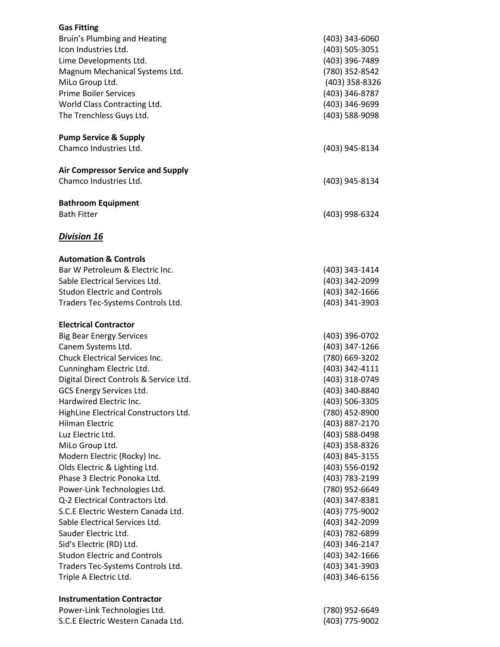| <b>Gas Fitting</b>                                          |                                  |
|-------------------------------------------------------------|----------------------------------|
| Bruin's Plumbing and Heating                                | (403) 343-6060                   |
| Icon Industries Ltd.                                        | (403) 505-3051                   |
| Lime Developments Ltd.                                      | (403) 396-7489                   |
| Magnum Mechanical Systems Ltd.                              | (780) 352-8542                   |
| MiLo Group Ltd.                                             | (403) 358-8326                   |
| <b>Prime Boiler Services</b>                                | (403) 346-8787                   |
| World Class Contracting Ltd.                                | (403) 346-9699                   |
| The Trenchless Guys Ltd.                                    | (403) 588-9098                   |
| <b>Pump Service &amp; Supply</b>                            |                                  |
| Chamco Industries Ltd.                                      | (403) 945-8134                   |
| <b>Air Compressor Service and Supply</b>                    |                                  |
| Chamco Industries Ltd.                                      | (403) 945-8134                   |
| <b>Bathroom Equipment</b>                                   |                                  |
| <b>Bath Fitter</b>                                          | (403) 998-6324                   |
| <b>Division 16</b>                                          |                                  |
| <b>Automation &amp; Controls</b>                            |                                  |
| Bar W Petroleum & Electric Inc.                             | (403) 343-1414                   |
| Sable Electrical Services Ltd.                              | (403) 342-2099                   |
| <b>Studon Electric and Controls</b>                         | (403) 342-1666                   |
| Traders Tec-Systems Controls Ltd.                           | (403) 341-3903                   |
| <b>Electrical Contractor</b>                                |                                  |
| <b>Big Bear Energy Services</b>                             | (403) 396-0702                   |
| Canem Systems Ltd.                                          | (403) 347-1266                   |
| <b>Chuck Electrical Services Inc.</b>                       | (780) 669-3202                   |
| Cunningham Electric Ltd.                                    | (403) 342-4111                   |
| Digital Direct Controls & Service Ltd.                      | (403) 318-0749                   |
| GCS Energy Services Ltd.                                    | (403) 340-8840                   |
| Hardwired Electric Inc.                                     | (403) 506-3305                   |
| HighLine Electrical Constructors Ltd.                       | (780) 452-8900                   |
| <b>Hilman Electric</b>                                      | (403) 887-2170                   |
| Luz Electric Ltd.                                           | (403) 588-0498                   |
| MiLo Group Ltd.                                             | (403) 358-8326                   |
| Modern Electric (Rocky) Inc.                                | (403) 845-3155                   |
| Olds Electric & Lighting Ltd.                               | (403) 556-0192                   |
| Phase 3 Electric Ponoka Ltd.                                | (403) 783-2199                   |
| Power-Link Technologies Ltd.                                | (780) 952-6649                   |
| Q-2 Electrical Contractors Ltd.                             | (403) 347-8381                   |
| S.C.E Electric Western Canada Ltd.                          | (403) 775-9002                   |
| Sable Electrical Services Ltd.                              | (403) 342-2099                   |
| Sauder Electric Ltd.                                        | (403) 782-6899                   |
| Sid's Electric (RD) Ltd.                                    | (403) 346-2147                   |
| <b>Studon Electric and Controls</b>                         | (403) 342-1666                   |
| Traders Tec-Systems Controls Ltd.<br>Triple A Electric Ltd. | (403) 341-3903<br>(403) 346-6156 |
|                                                             |                                  |
| <b>Instrumentation Contractor</b>                           |                                  |
| Power-Link Technologies Ltd.                                | (780) 952-6649                   |

. (403) 775 -9002

S . C .E Electric Weste rn Canada Ltd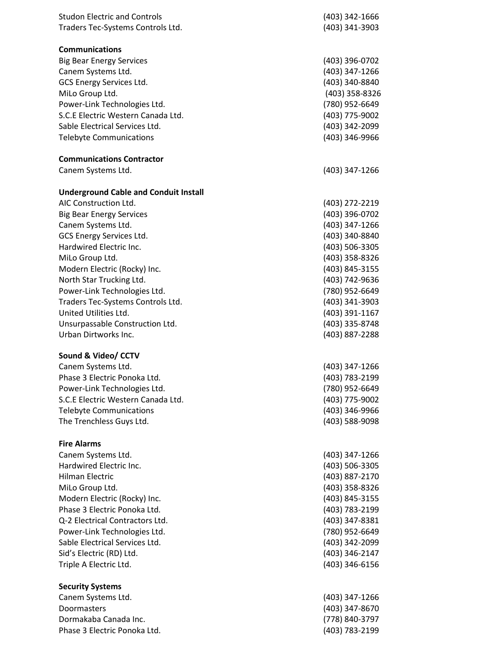| <b>Studon Electric and Controls</b>                     | (403) 342-1666 |
|---------------------------------------------------------|----------------|
| Traders Tec-Systems Controls Ltd.                       | (403) 341-3903 |
|                                                         |                |
| <b>Communications</b>                                   |                |
| <b>Big Bear Energy Services</b>                         | (403) 396-0702 |
| Canem Systems Ltd.                                      | (403) 347-1266 |
| GCS Energy Services Ltd.                                | (403) 340-8840 |
| MiLo Group Ltd.                                         | (403) 358-8326 |
| Power-Link Technologies Ltd.                            | (780) 952-6649 |
| S.C.E Electric Western Canada Ltd.                      | (403) 775-9002 |
| Sable Electrical Services Ltd.                          | (403) 342-2099 |
| <b>Telebyte Communications</b>                          | (403) 346-9966 |
| <b>Communications Contractor</b>                        |                |
| Canem Systems Ltd.                                      | (403) 347-1266 |
| <b>Underground Cable and Conduit Install</b>            |                |
| AIC Construction Ltd.                                   | (403) 272-2219 |
| <b>Big Bear Energy Services</b>                         | (403) 396-0702 |
| Canem Systems Ltd.                                      | (403) 347-1266 |
| GCS Energy Services Ltd.                                | (403) 340-8840 |
| Hardwired Electric Inc.                                 | (403) 506-3305 |
| MiLo Group Ltd.                                         | (403) 358-8326 |
| Modern Electric (Rocky) Inc.                            | (403) 845-3155 |
| North Star Trucking Ltd.                                | (403) 742-9636 |
| Power-Link Technologies Ltd.                            | (780) 952-6649 |
| Traders Tec-Systems Controls Ltd.                       | (403) 341-3903 |
| United Utilities Ltd.                                   | (403) 391-1167 |
|                                                         | (403) 335-8748 |
| Unsurpassable Construction Ltd.<br>Urban Dirtworks Inc. | (403) 887-2288 |
|                                                         |                |
| Sound & Video/ CCTV                                     |                |
| Canem Systems Ltd.                                      | (403) 347-1266 |
| Phase 3 Electric Ponoka Ltd.                            | (403) 783-2199 |
| Power-Link Technologies Ltd.                            | (780) 952-6649 |
| S.C.E Electric Western Canada Ltd.                      | (403) 775-9002 |
| <b>Telebyte Communications</b>                          | (403) 346-9966 |
| The Trenchless Guys Ltd.                                | (403) 588-9098 |
|                                                         |                |
| <b>Fire Alarms</b>                                      |                |
| Canem Systems Ltd.                                      | (403) 347-1266 |
| Hardwired Electric Inc.                                 | (403) 506-3305 |
| <b>Hilman Electric</b>                                  | (403) 887-2170 |
| MiLo Group Ltd.                                         | (403) 358-8326 |
| Modern Electric (Rocky) Inc.                            | (403) 845-3155 |
| Phase 3 Electric Ponoka Ltd.                            | (403) 783-2199 |
| Q-2 Electrical Contractors Ltd.                         | (403) 347-8381 |
| Power-Link Technologies Ltd.                            | (780) 952-6649 |
| Sable Electrical Services Ltd.                          | (403) 342-2099 |
| Sid's Electric (RD) Ltd.                                | (403) 346-2147 |
| Triple A Electric Ltd.                                  | (403) 346-6156 |
| <b>Security Systems</b>                                 |                |
| Canem Systems Ltd.                                      | (403) 347-1266 |
| Doormasters                                             | (403) 347-8670 |
| Dormakaba Canada Inc.                                   | (778) 840-3797 |
| Phase 3 Electric Ponoka Ltd.                            | (403) 783-2199 |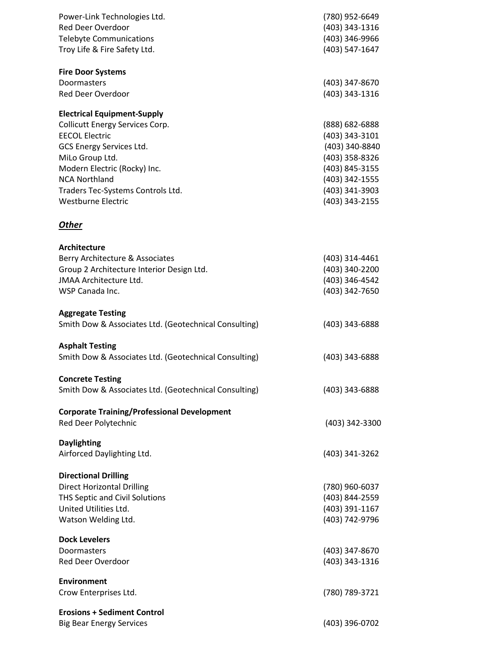| Power-Link Technologies Ltd.                          | (780) 952-6649 |
|-------------------------------------------------------|----------------|
| Red Deer Overdoor                                     | (403) 343-1316 |
| <b>Telebyte Communications</b>                        | (403) 346-9966 |
| Troy Life & Fire Safety Ltd.                          | (403) 547-1647 |
| <b>Fire Door Systems</b>                              |                |
| Doormasters                                           | (403) 347-8670 |
| <b>Red Deer Overdoor</b>                              | (403) 343-1316 |
| <b>Electrical Equipment-Supply</b>                    |                |
| <b>Collicutt Energy Services Corp.</b>                | (888) 682-6888 |
| <b>EECOL Electric</b>                                 | (403) 343-3101 |
| GCS Energy Services Ltd.                              | (403) 340-8840 |
| MiLo Group Ltd.                                       | (403) 358-8326 |
| Modern Electric (Rocky) Inc.                          | (403) 845-3155 |
| <b>NCA Northland</b>                                  | (403) 342-1555 |
| Traders Tec-Systems Controls Ltd.                     | (403) 341-3903 |
| <b>Westburne Electric</b>                             | (403) 343-2155 |
| <b>Other</b>                                          |                |
| Architecture                                          |                |
| Berry Architecture & Associates                       | (403) 314-4461 |
| Group 2 Architecture Interior Design Ltd.             | (403) 340-2200 |
| <b>JMAA Architecture Ltd.</b>                         | (403) 346-4542 |
| WSP Canada Inc.                                       | (403) 342-7650 |
| <b>Aggregate Testing</b>                              |                |
| Smith Dow & Associates Ltd. (Geotechnical Consulting) | (403) 343-6888 |
| <b>Asphalt Testing</b>                                |                |
| Smith Dow & Associates Ltd. (Geotechnical Consulting) | (403) 343-6888 |
| <b>Concrete Testing</b>                               |                |
| Smith Dow & Associates Ltd. (Geotechnical Consulting) | (403) 343-6888 |
| <b>Corporate Training/Professional Development</b>    |                |
| Red Deer Polytechnic                                  | (403) 342-3300 |
| <b>Daylighting</b>                                    |                |
| Airforced Daylighting Ltd.                            | (403) 341-3262 |
| <b>Directional Drilling</b>                           |                |
| <b>Direct Horizontal Drilling</b>                     | (780) 960-6037 |
| THS Septic and Civil Solutions                        | (403) 844-2559 |
| United Utilities Ltd.                                 | (403) 391-1167 |
| Watson Welding Ltd.                                   | (403) 742-9796 |
| <b>Dock Levelers</b>                                  |                |
| Doormasters                                           | (403) 347-8670 |
| <b>Red Deer Overdoor</b>                              | (403) 343-1316 |
| <b>Environment</b>                                    |                |
| Crow Enterprises Ltd.                                 | (780) 789-3721 |
| <b>Erosions + Sediment Control</b>                    |                |
| <b>Big Bear Energy Services</b>                       | (403) 396-0702 |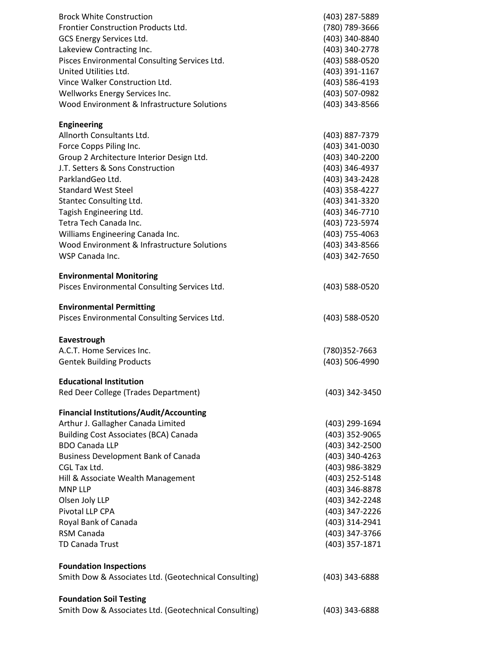| <b>Brock White Construction</b>                       | (403) 287-5889 |
|-------------------------------------------------------|----------------|
| Frontier Construction Products Ltd.                   | (780) 789-3666 |
| GCS Energy Services Ltd.                              | (403) 340-8840 |
| Lakeview Contracting Inc.                             | (403) 340-2778 |
| Pisces Environmental Consulting Services Ltd.         | (403) 588-0520 |
| United Utilities Ltd.                                 | (403) 391-1167 |
| Vince Walker Construction Ltd.                        | (403) 586-4193 |
| Wellworks Energy Services Inc.                        | (403) 507-0982 |
| Wood Environment & Infrastructure Solutions           | (403) 343-8566 |
| <b>Engineering</b>                                    |                |
| Allnorth Consultants Ltd.                             | (403) 887-7379 |
| Force Copps Piling Inc.                               | (403) 341-0030 |
| Group 2 Architecture Interior Design Ltd.             | (403) 340-2200 |
| J.T. Setters & Sons Construction                      | (403) 346-4937 |
| ParklandGeo Ltd.                                      | (403) 343-2428 |
| <b>Standard West Steel</b>                            | (403) 358-4227 |
| Stantec Consulting Ltd.                               | (403) 341-3320 |
| Tagish Engineering Ltd.                               | (403) 346-7710 |
| Tetra Tech Canada Inc.                                | (403) 723-5974 |
| Williams Engineering Canada Inc.                      | (403) 755-4063 |
| Wood Environment & Infrastructure Solutions           | (403) 343-8566 |
| WSP Canada Inc.                                       | (403) 342-7650 |
|                                                       |                |
| <b>Environmental Monitoring</b>                       |                |
| Pisces Environmental Consulting Services Ltd.         | (403) 588-0520 |
| <b>Environmental Permitting</b>                       |                |
| Pisces Environmental Consulting Services Ltd.         | (403) 588-0520 |
| Eavestrough                                           |                |
| A.C.T. Home Services Inc.                             | (780)352-7663  |
| <b>Gentek Building Products</b>                       | (403) 506-4990 |
| <b>Educational Institution</b>                        |                |
| Red Deer College (Trades Department)                  | (403) 342-3450 |
| <b>Financial Institutions/Audit/Accounting</b>        |                |
| Arthur J. Gallagher Canada Limited                    | (403) 299-1694 |
| <b>Building Cost Associates (BCA) Canada</b>          | (403) 352-9065 |
| <b>BDO Canada LLP</b>                                 | (403) 342-2500 |
| <b>Business Development Bank of Canada</b>            | (403) 340-4263 |
| CGL Tax Ltd.                                          | (403) 986-3829 |
| Hill & Associate Wealth Management                    | (403) 252-5148 |
| <b>MNP LLP</b>                                        | (403) 346-8878 |
| Olsen Joly LLP                                        | (403) 342-2248 |
| Pivotal LLP CPA                                       | (403) 347-2226 |
| Royal Bank of Canada                                  | (403) 314-2941 |
| RSM Canada                                            | (403) 347-3766 |
| TD Canada Trust                                       | (403) 357-1871 |
| <b>Foundation Inspections</b>                         |                |
| Smith Dow & Associates Ltd. (Geotechnical Consulting) | (403) 343-6888 |
| <b>Foundation Soil Testing</b>                        |                |
| Smith Dow & Associates Ltd. (Geotechnical Consulting) | (403) 343-6888 |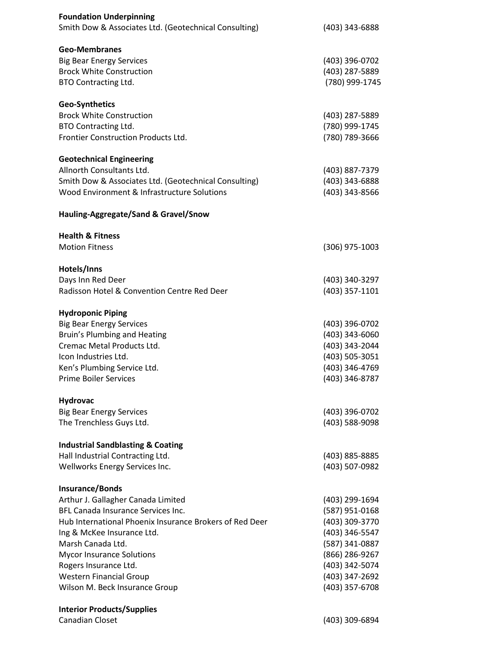| <b>Foundation Underpinning</b><br>Smith Dow & Associates Ltd. (Geotechnical Consulting)                                                                                                                                                                                                                                                           | (403) 343-6888                                                                                                                                                 |
|---------------------------------------------------------------------------------------------------------------------------------------------------------------------------------------------------------------------------------------------------------------------------------------------------------------------------------------------------|----------------------------------------------------------------------------------------------------------------------------------------------------------------|
| <b>Geo-Membranes</b><br><b>Big Bear Energy Services</b><br><b>Brock White Construction</b><br><b>BTO Contracting Ltd.</b>                                                                                                                                                                                                                         | (403) 396-0702<br>(403) 287-5889<br>(780) 999-1745                                                                                                             |
| <b>Geo-Synthetics</b><br><b>Brock White Construction</b><br>BTO Contracting Ltd.<br>Frontier Construction Products Ltd.                                                                                                                                                                                                                           | (403) 287-5889<br>(780) 999-1745<br>(780) 789-3666                                                                                                             |
| <b>Geotechnical Engineering</b><br>Allnorth Consultants Ltd.<br>Smith Dow & Associates Ltd. (Geotechnical Consulting)<br>Wood Environment & Infrastructure Solutions                                                                                                                                                                              | (403) 887-7379<br>(403) 343-6888<br>(403) 343-8566                                                                                                             |
| Hauling-Aggregate/Sand & Gravel/Snow                                                                                                                                                                                                                                                                                                              |                                                                                                                                                                |
| <b>Health &amp; Fitness</b><br><b>Motion Fitness</b>                                                                                                                                                                                                                                                                                              | $(306)$ 975-1003                                                                                                                                               |
| Hotels/Inns<br>Days Inn Red Deer<br>Radisson Hotel & Convention Centre Red Deer                                                                                                                                                                                                                                                                   | (403) 340-3297<br>(403) 357-1101                                                                                                                               |
| <b>Hydroponic Piping</b><br><b>Big Bear Energy Services</b><br>Bruin's Plumbing and Heating<br>Cremac Metal Products Ltd.<br>Icon Industries Ltd.<br>Ken's Plumbing Service Ltd.<br><b>Prime Boiler Services</b>                                                                                                                                  | (403) 396-0702<br>$(403)$ 343-6060<br>(403) 343-2044<br>(403) 505-3051<br>(403) 346-4769<br>(403) 346-8787                                                     |
| <b>Hydrovac</b><br><b>Big Bear Energy Services</b><br>The Trenchless Guys Ltd.                                                                                                                                                                                                                                                                    | (403) 396-0702<br>(403) 588-9098                                                                                                                               |
| <b>Industrial Sandblasting &amp; Coating</b><br>Hall Industrial Contracting Ltd.<br>Wellworks Energy Services Inc.                                                                                                                                                                                                                                | (403) 885-8885<br>(403) 507-0982                                                                                                                               |
| <b>Insurance/Bonds</b><br>Arthur J. Gallagher Canada Limited<br>BFL Canada Insurance Services Inc.<br>Hub International Phoenix Insurance Brokers of Red Deer<br>Ing & McKee Insurance Ltd.<br>Marsh Canada Ltd.<br><b>Mycor Insurance Solutions</b><br>Rogers Insurance Ltd.<br><b>Western Financial Group</b><br>Wilson M. Beck Insurance Group | (403) 299-1694<br>(587) 951-0168<br>(403) 309-3770<br>(403) 346-5547<br>(587) 341-0887<br>(866) 286-9267<br>(403) 342-5074<br>(403) 347-2692<br>(403) 357-6708 |
| <b>Interior Products/Supplies</b><br>Canadian Closet                                                                                                                                                                                                                                                                                              | (403) 309-6894                                                                                                                                                 |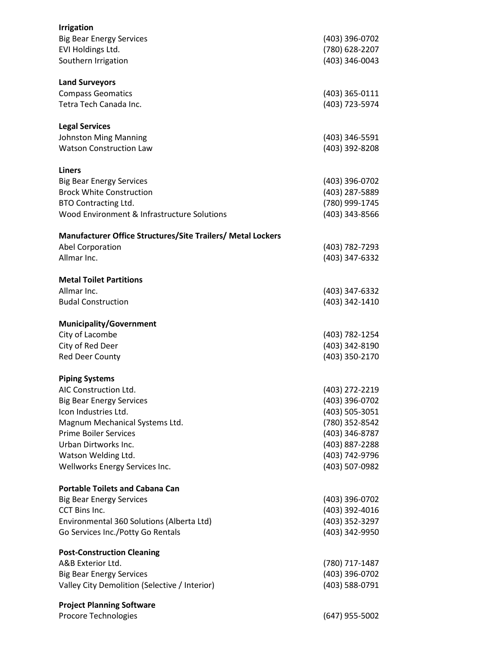| <b>Irrigation</b><br><b>Big Bear Energy Services</b>                      | (403) 396-0702                   |
|---------------------------------------------------------------------------|----------------------------------|
| EVI Holdings Ltd.<br>Southern Irrigation                                  | (780) 628-2207<br>(403) 346-0043 |
| <b>Land Surveyors</b>                                                     |                                  |
| <b>Compass Geomatics</b>                                                  | (403) 365-0111                   |
| Tetra Tech Canada Inc.                                                    | (403) 723-5974                   |
| <b>Legal Services</b>                                                     | (403) 346-5591                   |
| <b>Johnston Ming Manning</b><br><b>Watson Construction Law</b>            | (403) 392-8208                   |
|                                                                           |                                  |
| <b>Liners</b>                                                             |                                  |
| <b>Big Bear Energy Services</b>                                           | (403) 396-0702                   |
| <b>Brock White Construction</b>                                           | (403) 287-5889                   |
| BTO Contracting Ltd.                                                      | (780) 999-1745                   |
| Wood Environment & Infrastructure Solutions                               | (403) 343-8566                   |
| Manufacturer Office Structures/Site Trailers/ Metal Lockers               |                                  |
| Abel Corporation                                                          | (403) 782-7293                   |
| Allmar Inc.                                                               | (403) 347-6332                   |
| <b>Metal Toilet Partitions</b>                                            |                                  |
| Allmar Inc.                                                               | (403) 347-6332                   |
| <b>Budal Construction</b>                                                 | (403) 342-1410                   |
| <b>Municipality/Government</b>                                            |                                  |
| City of Lacombe                                                           | (403) 782-1254                   |
| City of Red Deer                                                          | (403) 342-8190                   |
| Red Deer County                                                           | (403) 350-2170                   |
| <b>Piping Systems</b>                                                     |                                  |
| AIC Construction Ltd.                                                     | (403) 272-2219                   |
| <b>Big Bear Energy Services</b>                                           | (403) 396-0702                   |
| Icon Industries Ltd.                                                      | (403) 505-3051                   |
| Magnum Mechanical Systems Ltd.                                            | (780) 352-8542                   |
| <b>Prime Boiler Services</b>                                              | (403) 346-8787                   |
| Urban Dirtworks Inc.<br>Watson Welding Ltd.                               | (403) 887-2288<br>(403) 742-9796 |
| Wellworks Energy Services Inc.                                            | (403) 507-0982                   |
|                                                                           |                                  |
| <b>Portable Toilets and Cabana Can</b><br><b>Big Bear Energy Services</b> | (403) 396-0702                   |
| CCT Bins Inc.                                                             | (403) 392-4016                   |
| Environmental 360 Solutions (Alberta Ltd)                                 | (403) 352-3297                   |
| Go Services Inc./Potty Go Rentals                                         | (403) 342-9950                   |
| <b>Post-Construction Cleaning</b>                                         |                                  |
| A&B Exterior Ltd.                                                         | (780) 717-1487                   |
| <b>Big Bear Energy Services</b>                                           | (403) 396-0702                   |
| Valley City Demolition (Selective / Interior)                             | (403) 588-0791                   |
| <b>Project Planning Software</b>                                          |                                  |
| Procore Technologies                                                      | (647) 955-5002                   |